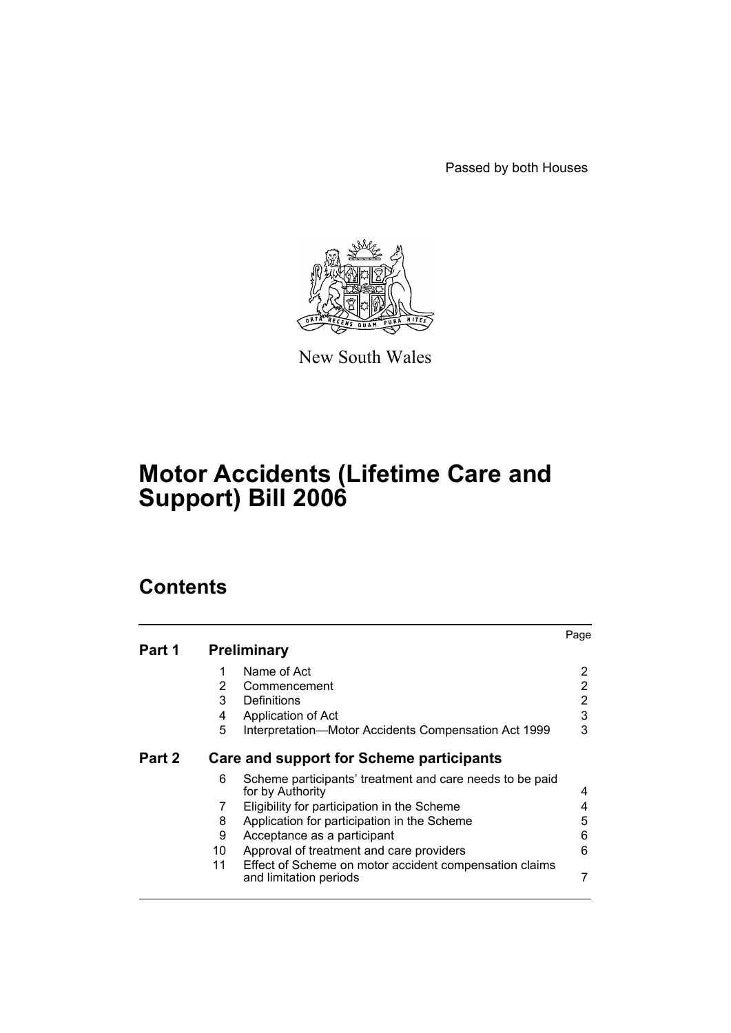Passed by both Houses



New South Wales

# **Motor Accidents (Lifetime Care and Support) Bill 2006**

# **Contents**

|        |                       |                                                                                  | Page           |
|--------|-----------------------|----------------------------------------------------------------------------------|----------------|
| Part 1 |                       | <b>Preliminary</b>                                                               |                |
|        | 1                     | Name of Act                                                                      | 2              |
|        | $\mathbf{2}^{\prime}$ | Commencement                                                                     | 2              |
|        | 3                     | Definitions                                                                      | $\overline{2}$ |
|        | 4                     | Application of Act                                                               | 3              |
|        | 5                     | Interpretation-Motor Accidents Compensation Act 1999                             | 3              |
| Part 2 |                       | <b>Care and support for Scheme participants</b>                                  |                |
|        | 6                     | Scheme participants' treatment and care needs to be paid<br>for by Authority     | 4              |
|        | 7                     | Eligibility for participation in the Scheme                                      | 4              |
|        | 8                     | Application for participation in the Scheme                                      | 5              |
|        | 9                     | Acceptance as a participant                                                      | 6              |
|        | 10                    | Approval of treatment and care providers                                         | 6              |
|        | 11                    | Effect of Scheme on motor accident compensation claims<br>and limitation periods | 7              |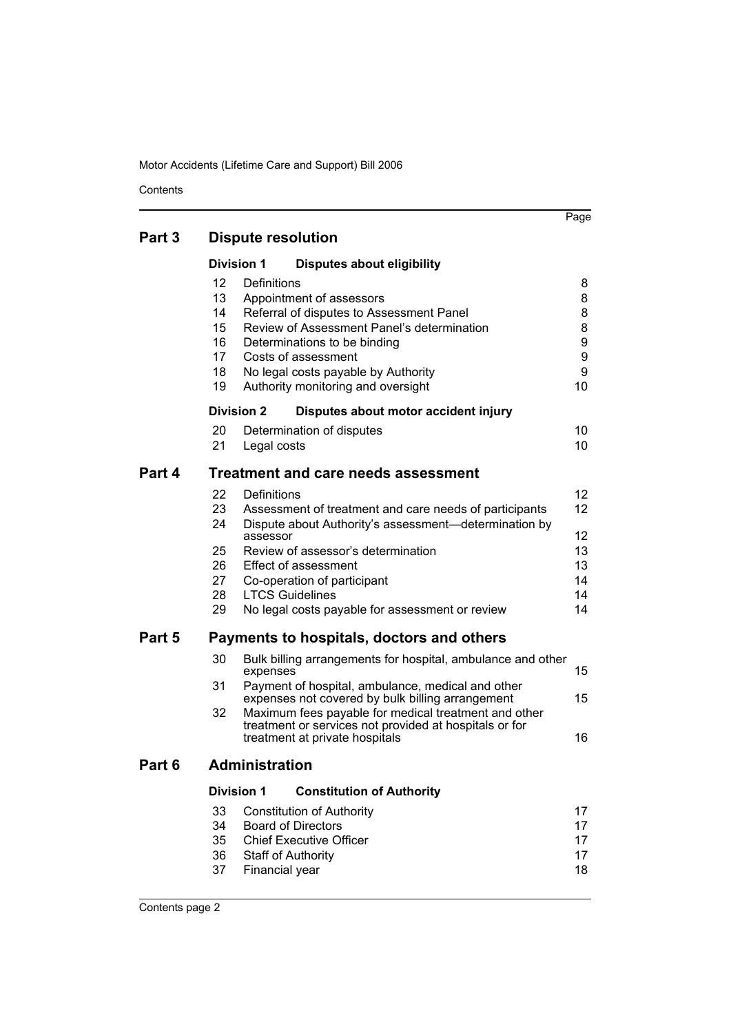**Contents** 

| Part 3 | <b>Dispute resolution</b> |
|--------|---------------------------|
|--------|---------------------------|

|        | PISPULU TUSULULIUI                                          |                           |                                                                                                                                                                                                                                                        |                                       |  |  |  |
|--------|-------------------------------------------------------------|---------------------------|--------------------------------------------------------------------------------------------------------------------------------------------------------------------------------------------------------------------------------------------------------|---------------------------------------|--|--|--|
|        |                                                             | <b>Division 1</b>         | <b>Disputes about eligibility</b>                                                                                                                                                                                                                      |                                       |  |  |  |
|        | $12 \overline{ }$<br>13<br>14<br>15<br>16<br>17<br>18<br>19 | Definitions               | Appointment of assessors<br>Referral of disputes to Assessment Panel<br>Review of Assessment Panel's determination<br>Determinations to be binding<br>Costs of assessment<br>No legal costs payable by Authority<br>Authority monitoring and oversight | 8<br>8<br>8<br>8<br>9<br>9<br>9<br>10 |  |  |  |
|        |                                                             | <b>Division 2</b>         | Disputes about motor accident injury                                                                                                                                                                                                                   |                                       |  |  |  |
|        | 20<br>21                                                    | Legal costs               | Determination of disputes                                                                                                                                                                                                                              | 10<br>10                              |  |  |  |
| Part 4 |                                                             |                           | <b>Treatment and care needs assessment</b>                                                                                                                                                                                                             |                                       |  |  |  |
|        | 22<br>23<br>24                                              | <b>Definitions</b>        | Assessment of treatment and care needs of participants<br>Dispute about Authority's assessment-determination by                                                                                                                                        | 12<br>12                              |  |  |  |
|        | 25                                                          | assessor                  | Review of assessor's determination                                                                                                                                                                                                                     | 12<br>13                              |  |  |  |
|        | 26<br>27                                                    |                           | Effect of assessment<br>Co-operation of participant                                                                                                                                                                                                    | 13<br>14                              |  |  |  |
|        | 28                                                          | <b>LTCS Guidelines</b>    |                                                                                                                                                                                                                                                        | 14                                    |  |  |  |
|        | 29                                                          |                           | No legal costs payable for assessment or review                                                                                                                                                                                                        | 14                                    |  |  |  |
| Part 5 | Payments to hospitals, doctors and others                   |                           |                                                                                                                                                                                                                                                        |                                       |  |  |  |
|        | 30                                                          | expenses                  | Bulk billing arrangements for hospital, ambulance and other                                                                                                                                                                                            | 15                                    |  |  |  |
|        | 31<br>32                                                    |                           | Payment of hospital, ambulance, medical and other<br>expenses not covered by bulk billing arrangement<br>Maximum fees payable for medical treatment and other                                                                                          | 15                                    |  |  |  |
|        |                                                             |                           | treatment or services not provided at hospitals or for<br>treatment at private hospitals                                                                                                                                                               | 16                                    |  |  |  |
| Part 6 |                                                             | <b>Administration</b>     |                                                                                                                                                                                                                                                        |                                       |  |  |  |
|        |                                                             | <b>Division 1</b>         | <b>Constitution of Authority</b>                                                                                                                                                                                                                       |                                       |  |  |  |
|        | 33                                                          |                           | <b>Constitution of Authority</b>                                                                                                                                                                                                                       | 17                                    |  |  |  |
|        | 34<br>35                                                    |                           | <b>Board of Directors</b><br><b>Chief Executive Officer</b>                                                                                                                                                                                            | 17<br>17                              |  |  |  |
|        | 36<br>37                                                    | <b>Staff of Authority</b> |                                                                                                                                                                                                                                                        | 17<br>18                              |  |  |  |
|        |                                                             | Financial year            |                                                                                                                                                                                                                                                        |                                       |  |  |  |

Page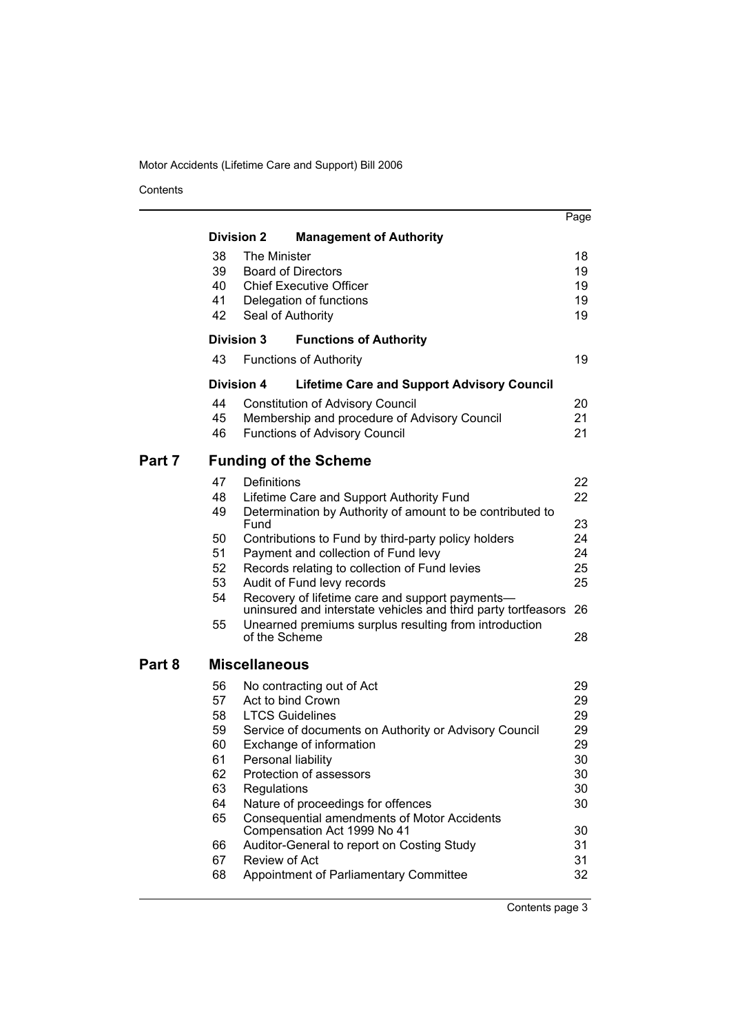Contents

|        |          |                           |                                                                                                                  | Page     |
|--------|----------|---------------------------|------------------------------------------------------------------------------------------------------------------|----------|
|        |          | <b>Division 2</b>         | <b>Management of Authority</b>                                                                                   |          |
|        | 38       | The Minister              |                                                                                                                  | 18       |
|        | 39       | <b>Board of Directors</b> |                                                                                                                  | 19       |
|        | 40       |                           | <b>Chief Executive Officer</b>                                                                                   | 19       |
|        | 41<br>42 |                           | Delegation of functions                                                                                          | 19<br>19 |
|        |          | Seal of Authority         |                                                                                                                  |          |
|        |          | <b>Division 3</b>         | <b>Functions of Authority</b>                                                                                    |          |
|        | 43       |                           | <b>Functions of Authority</b>                                                                                    | 19       |
|        |          | <b>Division 4</b>         | <b>Lifetime Care and Support Advisory Council</b>                                                                |          |
|        | 44       |                           | <b>Constitution of Advisory Council</b>                                                                          | 20       |
|        | 45       |                           | Membership and procedure of Advisory Council                                                                     | 21       |
|        | 46       |                           | <b>Functions of Advisory Council</b>                                                                             | 21       |
| Part 7 |          |                           | <b>Funding of the Scheme</b>                                                                                     |          |
|        | 47       | Definitions               |                                                                                                                  | 22       |
|        | 48       |                           | Lifetime Care and Support Authority Fund                                                                         | 22       |
|        | 49       | Fund                      | Determination by Authority of amount to be contributed to                                                        | 23       |
|        | 50       |                           | Contributions to Fund by third-party policy holders                                                              | 24       |
|        | 51       |                           | Payment and collection of Fund levy                                                                              | 24       |
|        | 52       |                           | Records relating to collection of Fund levies                                                                    | 25       |
|        | 53       |                           | Audit of Fund levy records                                                                                       | 25       |
|        | 54       |                           | Recovery of lifetime care and support payments-<br>uninsured and interstate vehicles and third party tortfeasors | 26       |
|        | 55       |                           | Unearned premiums surplus resulting from introduction                                                            |          |
|        |          | of the Scheme             |                                                                                                                  | 28       |
| Part 8 |          | <b>Miscellaneous</b>      |                                                                                                                  |          |
|        | 56       |                           | No contracting out of Act                                                                                        | 29       |
|        | 57       | Act to bind Crown         |                                                                                                                  | 29       |
|        | 58       | <b>LTCS Guidelines</b>    |                                                                                                                  | 29       |
|        | 59<br>60 |                           | Service of documents on Authority or Advisory Council<br>Exchange of information                                 | 29<br>29 |
|        | 61       | Personal liability        |                                                                                                                  | 30       |
|        | 62       |                           | Protection of assessors                                                                                          | 30       |
|        | 63       | Regulations               |                                                                                                                  | 30       |
|        | 64       |                           | Nature of proceedings for offences                                                                               | 30       |
|        | 65       |                           | Consequential amendments of Motor Accidents<br>Compensation Act 1999 No 41                                       | 30       |
|        | 66       |                           | Auditor-General to report on Costing Study                                                                       | 31       |
|        | 67       | Review of Act             |                                                                                                                  | 31       |
|        | 68       |                           | Appointment of Parliamentary Committee                                                                           | 32       |
|        |          |                           |                                                                                                                  |          |

Contents page 3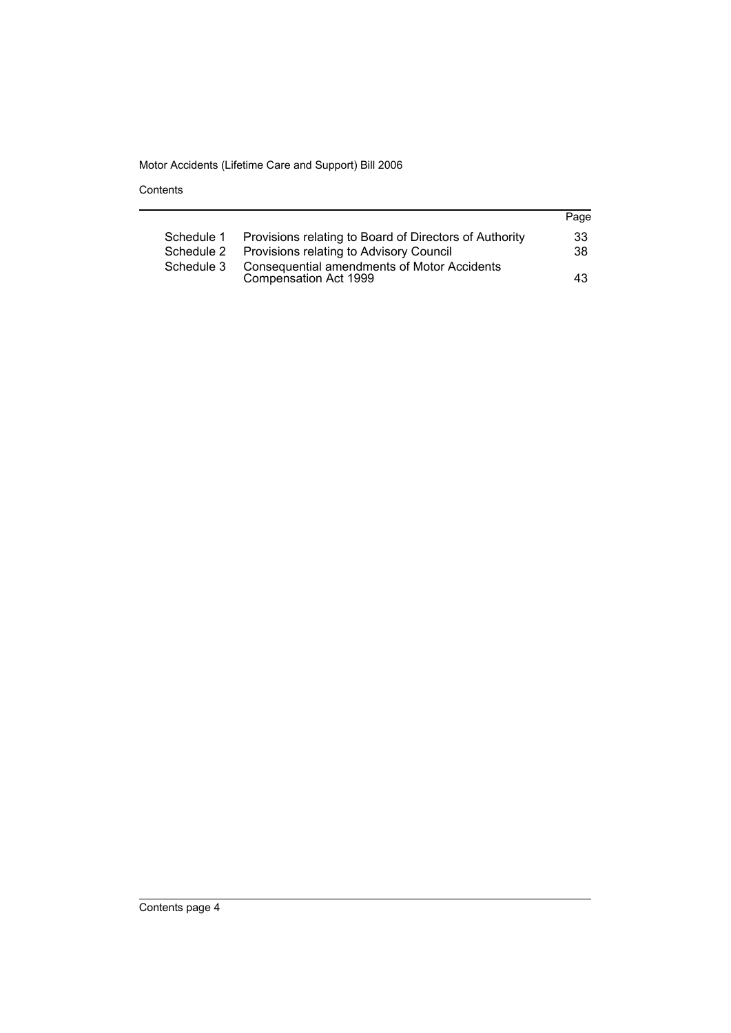Contents

|            |                                                                             | Page |
|------------|-----------------------------------------------------------------------------|------|
| Schedule 1 | Provisions relating to Board of Directors of Authority                      | 33   |
| Schedule 2 | Provisions relating to Advisory Council                                     | 38   |
| Schedule 3 | <b>Consequential amendments of Motor Accidents</b><br>Compensation Act 1999 | 43   |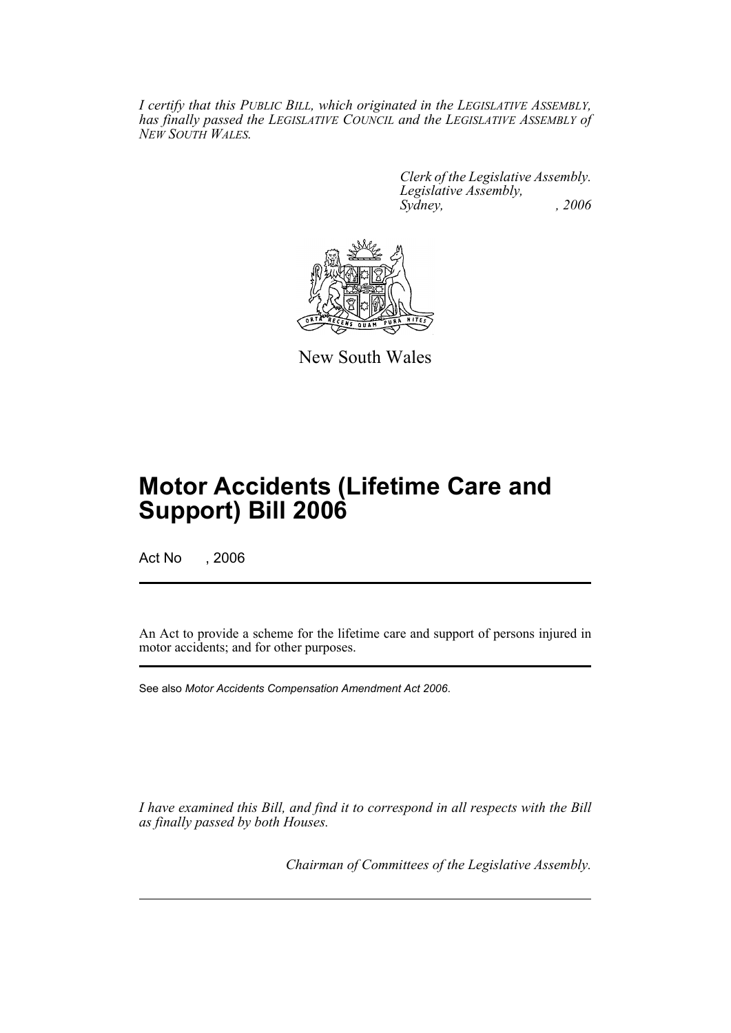*I certify that this PUBLIC BILL, which originated in the LEGISLATIVE ASSEMBLY, has finally passed the LEGISLATIVE COUNCIL and the LEGISLATIVE ASSEMBLY of NEW SOUTH WALES.*

> *Clerk of the Legislative Assembly. Legislative Assembly, Sydney, , 2006*



New South Wales

# **Motor Accidents (Lifetime Care and Support) Bill 2006**

Act No , 2006

An Act to provide a scheme for the lifetime care and support of persons injured in motor accidents; and for other purposes.

See also *Motor Accidents Compensation Amendment Act 2006*.

*I have examined this Bill, and find it to correspond in all respects with the Bill as finally passed by both Houses.*

*Chairman of Committees of the Legislative Assembly.*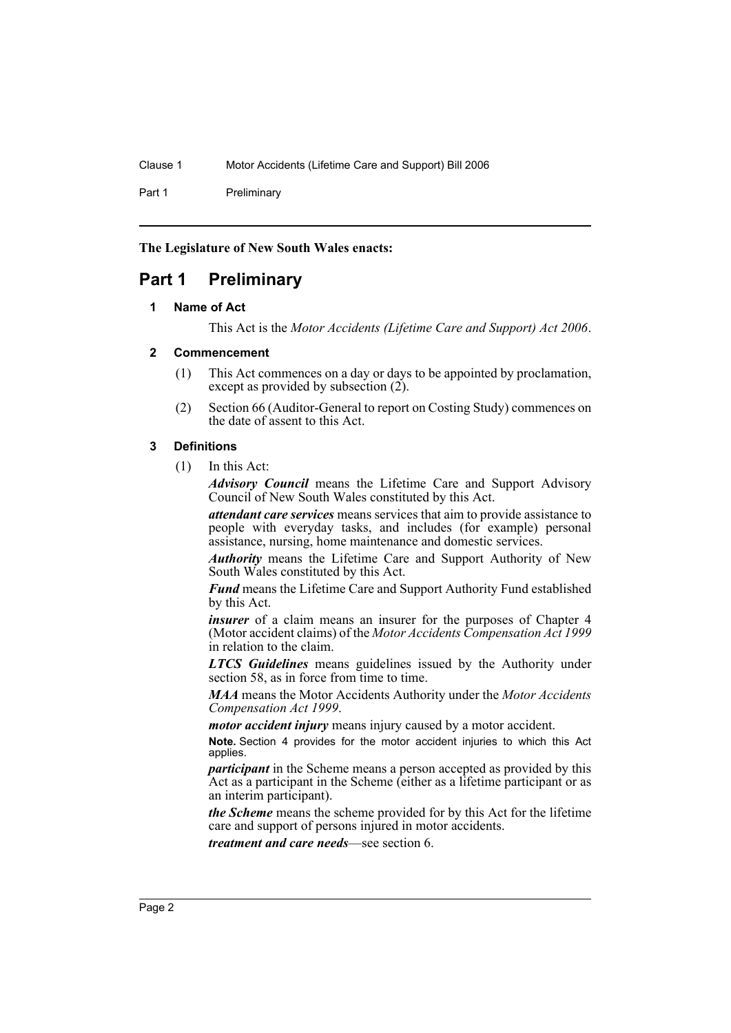Part 1 Preliminary

**The Legislature of New South Wales enacts:**

# <span id="page-5-1"></span><span id="page-5-0"></span>**Part 1 Preliminary**

# **1 Name of Act**

This Act is the *Motor Accidents (Lifetime Care and Support) Act 2006*.

# <span id="page-5-2"></span>**2 Commencement**

- (1) This Act commences on a day or days to be appointed by proclamation, except as provided by subsection  $(2)$ .
- (2) Section 66 (Auditor-General to report on Costing Study) commences on the date of assent to this Act.

# <span id="page-5-3"></span>**3 Definitions**

(1) In this Act:

*Advisory Council* means the Lifetime Care and Support Advisory Council of New South Wales constituted by this Act.

*attendant care services* means services that aim to provide assistance to people with everyday tasks, and includes (for example) personal assistance, nursing, home maintenance and domestic services.

*Authority* means the Lifetime Care and Support Authority of New South Wales constituted by this Act.

*Fund* means the Lifetime Care and Support Authority Fund established by this Act.

*insurer* of a claim means an insurer for the purposes of Chapter 4 (Motor accident claims) of the *Motor Accidents Compensation Act 1999* in relation to the claim.

*LTCS Guidelines* means guidelines issued by the Authority under section 58, as in force from time to time.

*MAA* means the Motor Accidents Authority under the *Motor Accidents Compensation Act 1999*.

*motor accident injury* means injury caused by a motor accident.

**Note.** Section 4 provides for the motor accident injuries to which this Act applies.

*participant* in the Scheme means a person accepted as provided by this Act as a participant in the Scheme (either as a lifetime participant or as an interim participant).

*the Scheme* means the scheme provided for by this Act for the lifetime care and support of persons injured in motor accidents.

*treatment and care needs*—see section 6.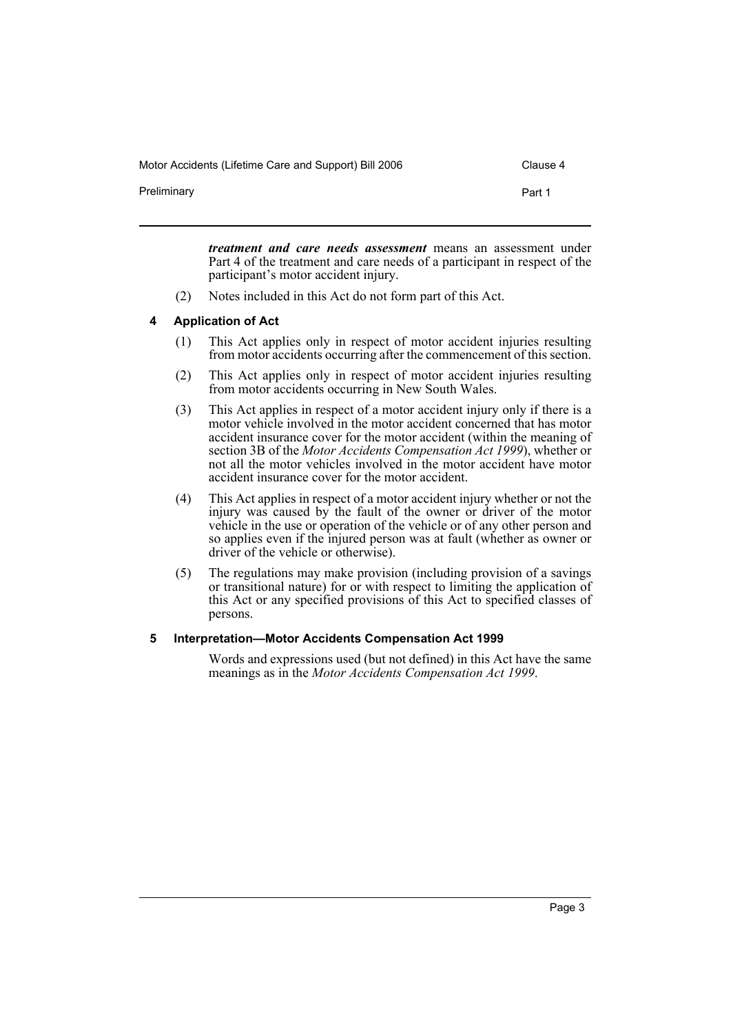Preliminary **Preliminary Part 1** 

*treatment and care needs assessment* means an assessment under Part 4 of the treatment and care needs of a participant in respect of the participant's motor accident injury.

(2) Notes included in this Act do not form part of this Act.

#### <span id="page-6-0"></span>**4 Application of Act**

- (1) This Act applies only in respect of motor accident injuries resulting from motor accidents occurring after the commencement of this section.
- (2) This Act applies only in respect of motor accident injuries resulting from motor accidents occurring in New South Wales.
- (3) This Act applies in respect of a motor accident injury only if there is a motor vehicle involved in the motor accident concerned that has motor accident insurance cover for the motor accident (within the meaning of section 3B of the *Motor Accidents Compensation Act 1999*), whether or not all the motor vehicles involved in the motor accident have motor accident insurance cover for the motor accident.
- (4) This Act applies in respect of a motor accident injury whether or not the injury was caused by the fault of the owner or driver of the motor vehicle in the use or operation of the vehicle or of any other person and so applies even if the injured person was at fault (whether as owner or driver of the vehicle or otherwise).
- (5) The regulations may make provision (including provision of a savings or transitional nature) for or with respect to limiting the application of this Act or any specified provisions of this Act to specified classes of persons.

# <span id="page-6-1"></span>**5 Interpretation—Motor Accidents Compensation Act 1999**

Words and expressions used (but not defined) in this Act have the same meanings as in the *Motor Accidents Compensation Act 1999*.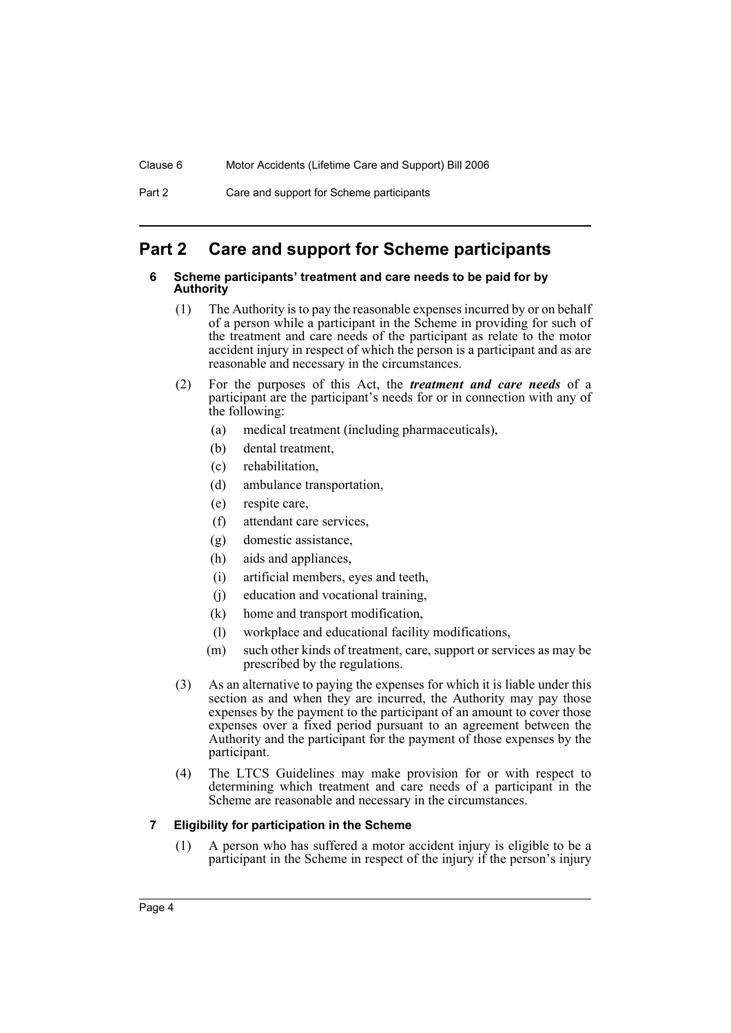# <span id="page-7-1"></span><span id="page-7-0"></span>**Part 2 Care and support for Scheme participants**

#### **6 Scheme participants' treatment and care needs to be paid for by Authority**

- (1) The Authority is to pay the reasonable expenses incurred by or on behalf of a person while a participant in the Scheme in providing for such of the treatment and care needs of the participant as relate to the motor accident injury in respect of which the person is a participant and as are reasonable and necessary in the circumstances.
- (2) For the purposes of this Act, the *treatment and care needs* of a participant are the participant's needs for or in connection with any of the following:
	- (a) medical treatment (including pharmaceuticals),
	- (b) dental treatment,
	- (c) rehabilitation,
	- (d) ambulance transportation,
	- (e) respite care,
	- (f) attendant care services,
	- (g) domestic assistance,
	- (h) aids and appliances,
	- (i) artificial members, eyes and teeth,
	- (j) education and vocational training,
	- (k) home and transport modification,
	- (l) workplace and educational facility modifications,
	- (m) such other kinds of treatment, care, support or services as may be prescribed by the regulations.
- (3) As an alternative to paying the expenses for which it is liable under this section as and when they are incurred, the Authority may pay those expenses by the payment to the participant of an amount to cover those expenses over a fixed period pursuant to an agreement between the Authority and the participant for the payment of those expenses by the participant.
- (4) The LTCS Guidelines may make provision for or with respect to determining which treatment and care needs of a participant in the Scheme are reasonable and necessary in the circumstances.

# <span id="page-7-2"></span>**7 Eligibility for participation in the Scheme**

(1) A person who has suffered a motor accident injury is eligible to be a participant in the Scheme in respect of the injury if the person's injury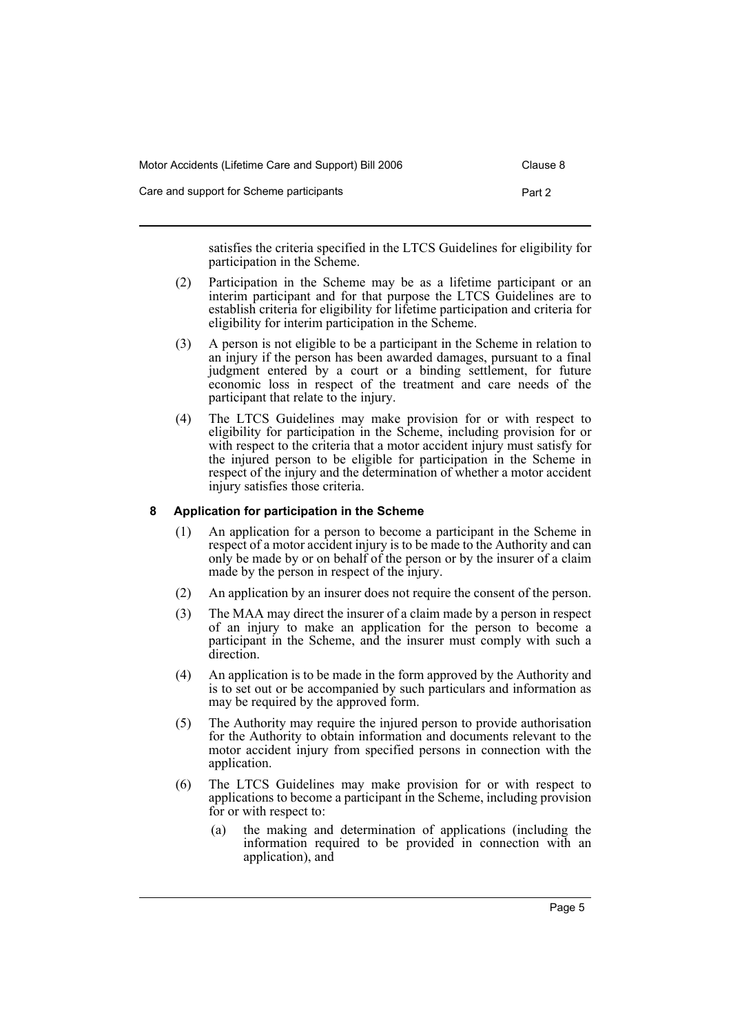| Motor Accidents (Lifetime Care and Support) Bill 2006 | Clause 8 |
|-------------------------------------------------------|----------|
| Care and support for Scheme participants              | Part 2   |

satisfies the criteria specified in the LTCS Guidelines for eligibility for participation in the Scheme.

- (2) Participation in the Scheme may be as a lifetime participant or an interim participant and for that purpose the LTCS Guidelines are to establish criteria for eligibility for lifetime participation and criteria for eligibility for interim participation in the Scheme.
- (3) A person is not eligible to be a participant in the Scheme in relation to an injury if the person has been awarded damages, pursuant to a final judgment entered by a court or a binding settlement, for future economic loss in respect of the treatment and care needs of the participant that relate to the injury.
- (4) The LTCS Guidelines may make provision for or with respect to eligibility for participation in the Scheme, including provision for or with respect to the criteria that a motor accident injury must satisfy for the injured person to be eligible for participation in the Scheme in respect of the injury and the determination of whether a motor accident injury satisfies those criteria.

# <span id="page-8-0"></span>**8 Application for participation in the Scheme**

- (1) An application for a person to become a participant in the Scheme in respect of a motor accident injury is to be made to the Authority and can only be made by or on behalf of the person or by the insurer of a claim made by the person in respect of the injury.
- (2) An application by an insurer does not require the consent of the person.
- (3) The MAA may direct the insurer of a claim made by a person in respect of an injury to make an application for the person to become a participant in the Scheme, and the insurer must comply with such a direction.
- (4) An application is to be made in the form approved by the Authority and is to set out or be accompanied by such particulars and information as may be required by the approved form.
- (5) The Authority may require the injured person to provide authorisation for the Authority to obtain information and documents relevant to the motor accident injury from specified persons in connection with the application.
- (6) The LTCS Guidelines may make provision for or with respect to applications to become a participant in the Scheme, including provision for or with respect to:
	- (a) the making and determination of applications (including the information required to be provided in connection with an application), and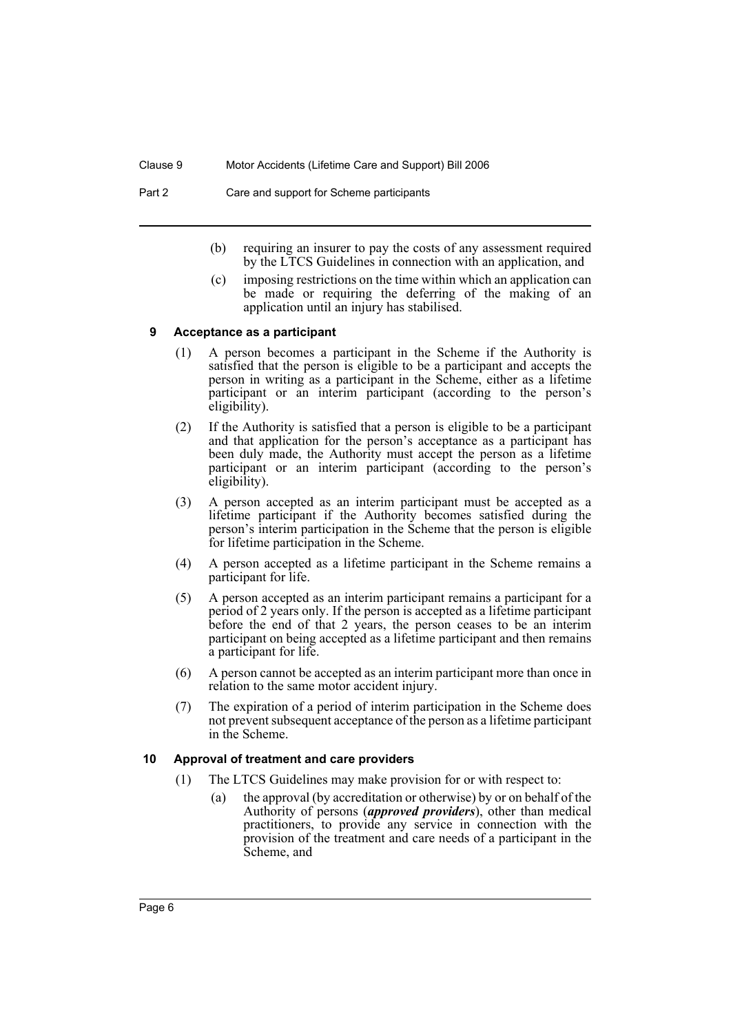#### Part 2 Care and support for Scheme participants

- (b) requiring an insurer to pay the costs of any assessment required by the LTCS Guidelines in connection with an application, and
- (c) imposing restrictions on the time within which an application can be made or requiring the deferring of the making of an application until an injury has stabilised.

#### <span id="page-9-0"></span>**9 Acceptance as a participant**

- (1) A person becomes a participant in the Scheme if the Authority is satisfied that the person is eligible to be a participant and accepts the person in writing as a participant in the Scheme, either as a lifetime participant or an interim participant (according to the person's eligibility).
- (2) If the Authority is satisfied that a person is eligible to be a participant and that application for the person's acceptance as a participant has been duly made, the Authority must accept the person as a lifetime participant or an interim participant (according to the person's eligibility).
- (3) A person accepted as an interim participant must be accepted as a lifetime participant if the Authority becomes satisfied during the person's interim participation in the Scheme that the person is eligible for lifetime participation in the Scheme.
- (4) A person accepted as a lifetime participant in the Scheme remains a participant for life.
- (5) A person accepted as an interim participant remains a participant for a period of 2 years only. If the person is accepted as a lifetime participant before the end of that 2 years, the person ceases to be an interim participant on being accepted as a lifetime participant and then remains a participant for life.
- (6) A person cannot be accepted as an interim participant more than once in relation to the same motor accident injury.
- (7) The expiration of a period of interim participation in the Scheme does not prevent subsequent acceptance of the person as a lifetime participant in the Scheme.

#### <span id="page-9-1"></span>**10 Approval of treatment and care providers**

- (1) The LTCS Guidelines may make provision for or with respect to:
	- (a) the approval (by accreditation or otherwise) by or on behalf of the Authority of persons (*approved providers*), other than medical practitioners, to provide any service in connection with the provision of the treatment and care needs of a participant in the Scheme, and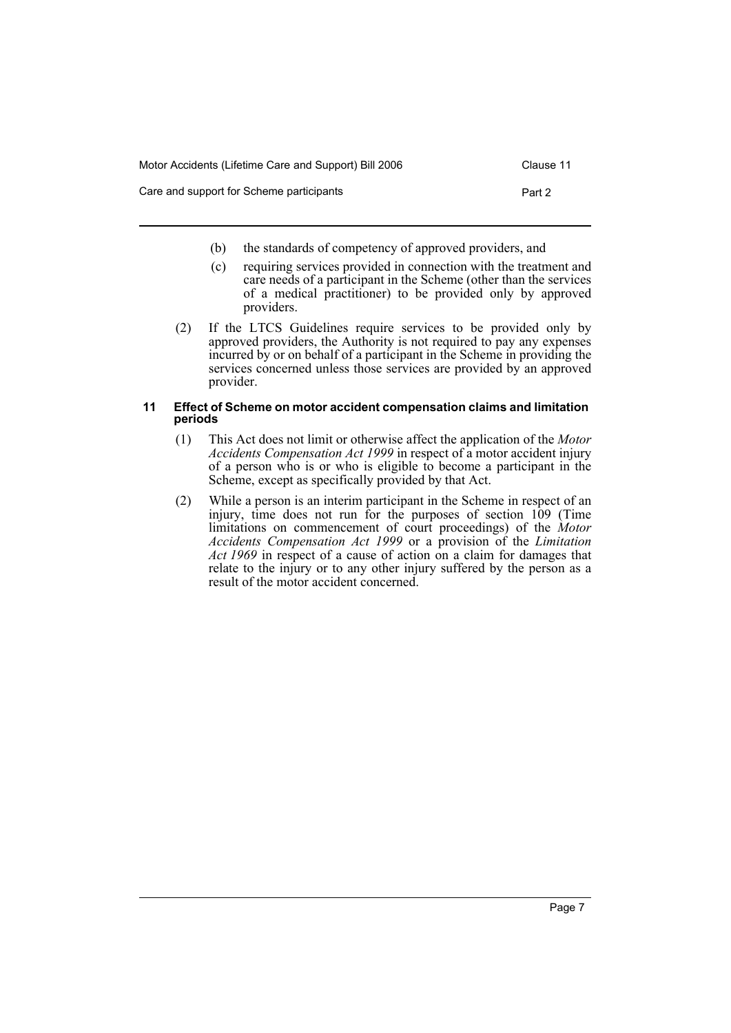| Motor Accidents (Lifetime Care and Support) Bill 2006 | Clause 11 |
|-------------------------------------------------------|-----------|
| Care and support for Scheme participants              | Part 2    |

- (b) the standards of competency of approved providers, and
- (c) requiring services provided in connection with the treatment and care needs of a participant in the Scheme (other than the services of a medical practitioner) to be provided only by approved providers.
- (2) If the LTCS Guidelines require services to be provided only by approved providers, the Authority is not required to pay any expenses incurred by or on behalf of a participant in the Scheme in providing the services concerned unless those services are provided by an approved provider.

#### <span id="page-10-0"></span>**11 Effect of Scheme on motor accident compensation claims and limitation periods**

- (1) This Act does not limit or otherwise affect the application of the *Motor Accidents Compensation Act 1999* in respect of a motor accident injury of a person who is or who is eligible to become a participant in the Scheme, except as specifically provided by that Act.
- (2) While a person is an interim participant in the Scheme in respect of an injury, time does not run for the purposes of section 109 (Time limitations on commencement of court proceedings) of the *Motor Accidents Compensation Act 1999* or a provision of the *Limitation Act 1969* in respect of a cause of action on a claim for damages that relate to the injury or to any other injury suffered by the person as a result of the motor accident concerned.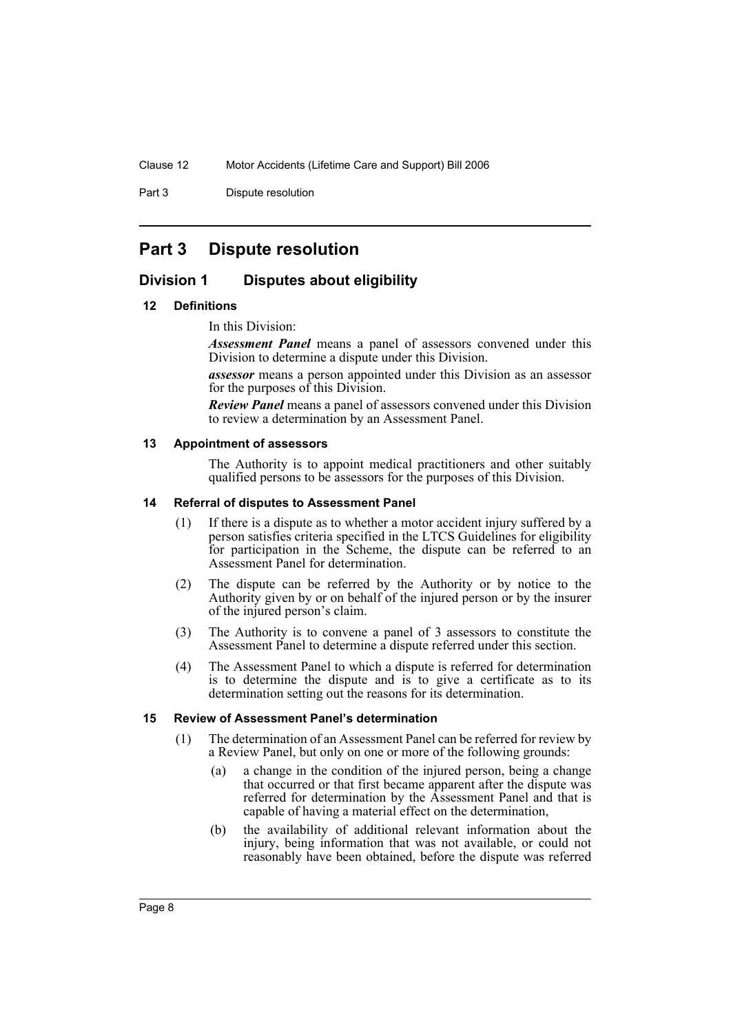Part 3 Dispute resolution

# <span id="page-11-0"></span>**Part 3 Dispute resolution**

# <span id="page-11-1"></span>**Division 1 Disputes about eligibility**

#### <span id="page-11-2"></span>**12 Definitions**

In this Division:

*Assessment Panel* means a panel of assessors convened under this Division to determine a dispute under this Division.

*assessor* means a person appointed under this Division as an assessor for the purposes of this Division.

*Review Panel* means a panel of assessors convened under this Division to review a determination by an Assessment Panel.

#### <span id="page-11-3"></span>**13 Appointment of assessors**

The Authority is to appoint medical practitioners and other suitably qualified persons to be assessors for the purposes of this Division.

#### <span id="page-11-4"></span>**14 Referral of disputes to Assessment Panel**

- (1) If there is a dispute as to whether a motor accident injury suffered by a person satisfies criteria specified in the LTCS Guidelines for eligibility for participation in the Scheme, the dispute can be referred to an Assessment Panel for determination.
- (2) The dispute can be referred by the Authority or by notice to the Authority given by or on behalf of the injured person or by the insurer of the injured person's claim.
- (3) The Authority is to convene a panel of 3 assessors to constitute the Assessment Panel to determine a dispute referred under this section.
- (4) The Assessment Panel to which a dispute is referred for determination is to determine the dispute and is to give a certificate as to its determination setting out the reasons for its determination.

#### <span id="page-11-5"></span>**15 Review of Assessment Panel's determination**

- (1) The determination of an Assessment Panel can be referred for review by a Review Panel, but only on one or more of the following grounds:
	- (a) a change in the condition of the injured person, being a change that occurred or that first became apparent after the dispute was referred for determination by the Assessment Panel and that is capable of having a material effect on the determination,
	- (b) the availability of additional relevant information about the injury, being information that was not available, or could not reasonably have been obtained, before the dispute was referred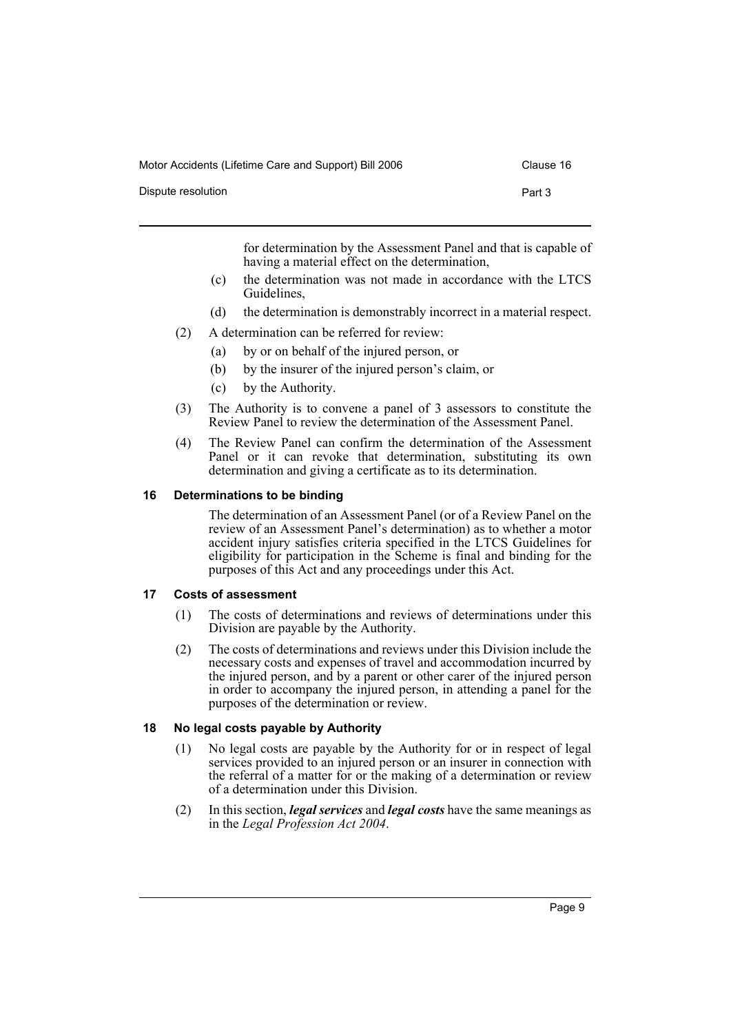| Dispute resolution |  |  |  | Part 3 |  |
|--------------------|--|--|--|--------|--|
|                    |  |  |  |        |  |

for determination by the Assessment Panel and that is capable of having a material effect on the determination,

- (c) the determination was not made in accordance with the LTCS Guidelines,
- (d) the determination is demonstrably incorrect in a material respect.
- (2) A determination can be referred for review:
	- (a) by or on behalf of the injured person, or
	- (b) by the insurer of the injured person's claim, or
	- (c) by the Authority.
- (3) The Authority is to convene a panel of 3 assessors to constitute the Review Panel to review the determination of the Assessment Panel.
- (4) The Review Panel can confirm the determination of the Assessment Panel or it can revoke that determination, substituting its own determination and giving a certificate as to its determination.

#### <span id="page-12-0"></span>**16 Determinations to be binding**

The determination of an Assessment Panel (or of a Review Panel on the review of an Assessment Panel's determination) as to whether a motor accident injury satisfies criteria specified in the LTCS Guidelines for eligibility for participation in the Scheme is final and binding for the purposes of this Act and any proceedings under this Act.

#### <span id="page-12-1"></span>**17 Costs of assessment**

- (1) The costs of determinations and reviews of determinations under this Division are payable by the Authority.
- (2) The costs of determinations and reviews under this Division include the necessary costs and expenses of travel and accommodation incurred by the injured person, and by a parent or other carer of the injured person in order to accompany the injured person, in attending a panel for the purposes of the determination or review.

# <span id="page-12-2"></span>**18 No legal costs payable by Authority**

- (1) No legal costs are payable by the Authority for or in respect of legal services provided to an injured person or an insurer in connection with the referral of a matter for or the making of a determination or review of a determination under this Division.
- (2) In this section, *legal services* and *legal costs* have the same meanings as in the *Legal Profession Act 2004*.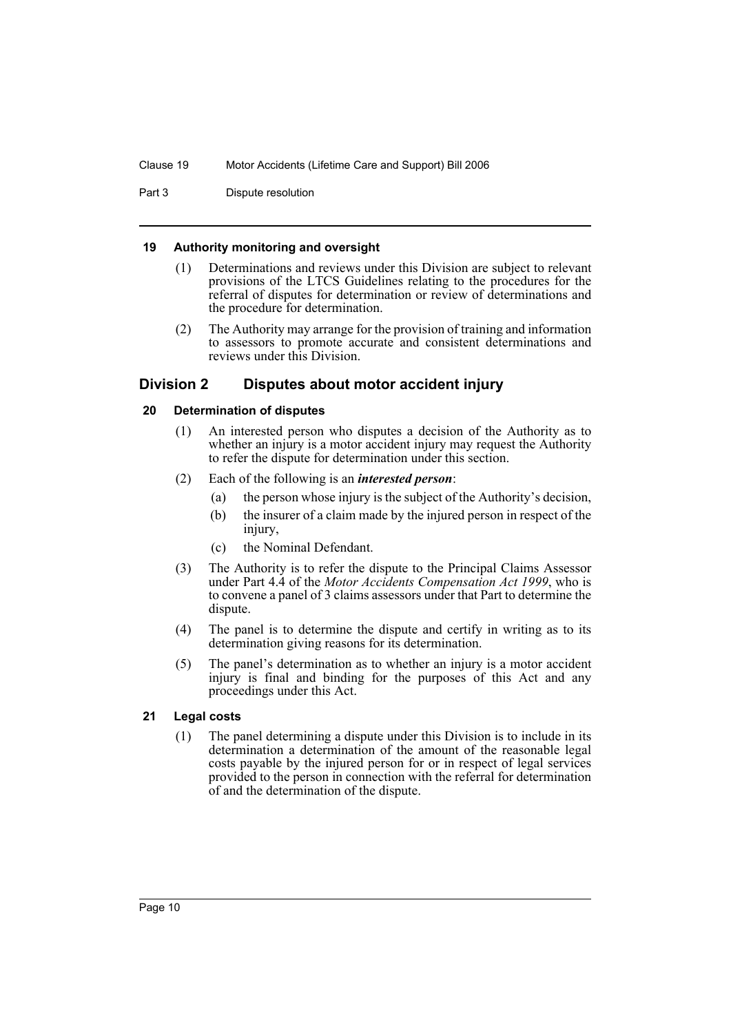Part 3 Dispute resolution

#### <span id="page-13-0"></span>**19 Authority monitoring and oversight**

- (1) Determinations and reviews under this Division are subject to relevant provisions of the LTCS Guidelines relating to the procedures for the referral of disputes for determination or review of determinations and the procedure for determination.
- (2) The Authority may arrange for the provision of training and information to assessors to promote accurate and consistent determinations and reviews under this Division.

# <span id="page-13-1"></span>**Division 2 Disputes about motor accident injury**

#### <span id="page-13-2"></span>**20 Determination of disputes**

- (1) An interested person who disputes a decision of the Authority as to whether an injury is a motor accident injury may request the Authority to refer the dispute for determination under this section.
- (2) Each of the following is an *interested person*:
	- (a) the person whose injury is the subject of the Authority's decision,
	- (b) the insurer of a claim made by the injured person in respect of the injury,
	- (c) the Nominal Defendant.
- (3) The Authority is to refer the dispute to the Principal Claims Assessor under Part 4.4 of the *Motor Accidents Compensation Act 1999*, who is to convene a panel of 3 claims assessors under that Part to determine the dispute.
- (4) The panel is to determine the dispute and certify in writing as to its determination giving reasons for its determination.
- (5) The panel's determination as to whether an injury is a motor accident injury is final and binding for the purposes of this Act and any proceedings under this Act.

# <span id="page-13-3"></span>**21 Legal costs**

(1) The panel determining a dispute under this Division is to include in its determination a determination of the amount of the reasonable legal costs payable by the injured person for or in respect of legal services provided to the person in connection with the referral for determination of and the determination of the dispute.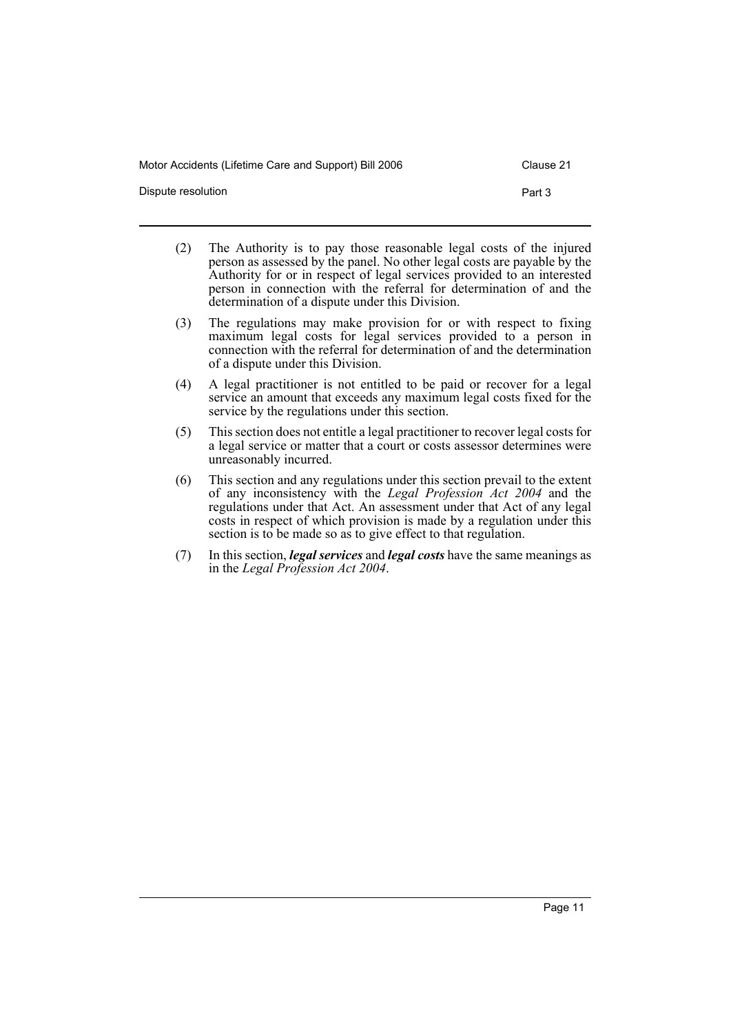Dispute resolution **Part 3** 

- (2) The Authority is to pay those reasonable legal costs of the injured person as assessed by the panel. No other legal costs are payable by the Authority for or in respect of legal services provided to an interested person in connection with the referral for determination of and the determination of a dispute under this Division.
- (3) The regulations may make provision for or with respect to fixing maximum legal costs for legal services provided to a person in connection with the referral for determination of and the determination of a dispute under this Division.
- (4) A legal practitioner is not entitled to be paid or recover for a legal service an amount that exceeds any maximum legal costs fixed for the service by the regulations under this section.
- (5) This section does not entitle a legal practitioner to recover legal costs for a legal service or matter that a court or costs assessor determines were unreasonably incurred.
- (6) This section and any regulations under this section prevail to the extent of any inconsistency with the *Legal Profession Act 2004* and the regulations under that Act. An assessment under that Act of any legal costs in respect of which provision is made by a regulation under this section is to be made so as to give effect to that regulation.
- (7) In this section, *legal services* and *legal costs* have the same meanings as in the *Legal Profession Act 2004*.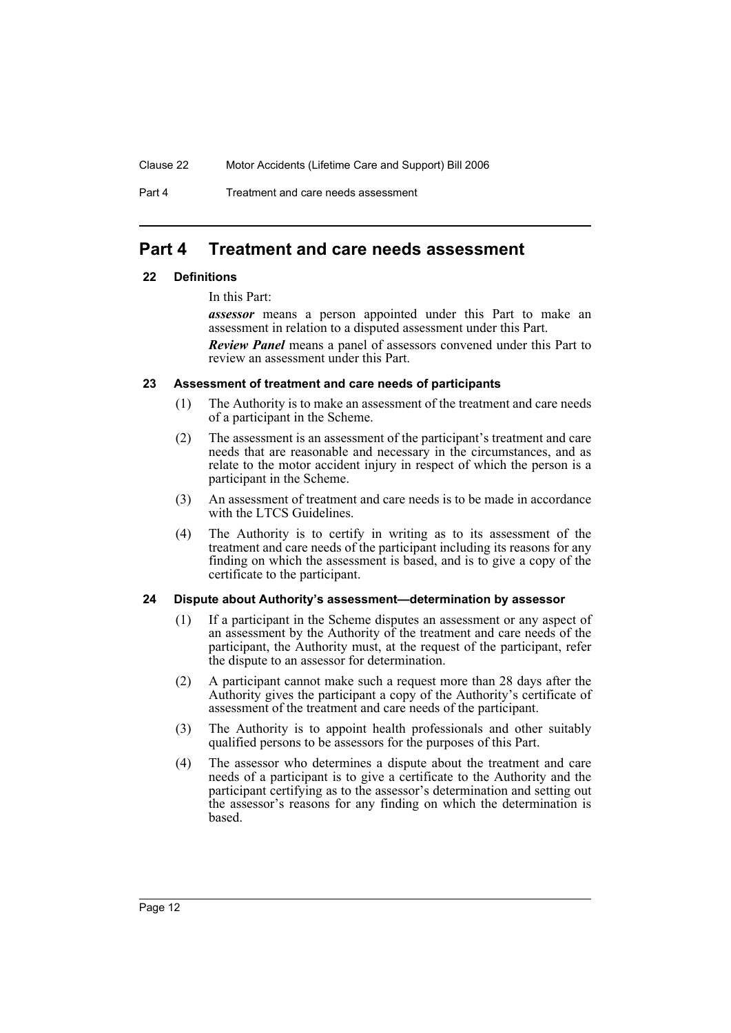Part 4 Treatment and care needs assessment

# <span id="page-15-0"></span>**Part 4 Treatment and care needs assessment**

# <span id="page-15-1"></span>**22 Definitions**

In this Part:

*assessor* means a person appointed under this Part to make an assessment in relation to a disputed assessment under this Part.

*Review Panel* means a panel of assessors convened under this Part to review an assessment under this Part.

# <span id="page-15-2"></span>**23 Assessment of treatment and care needs of participants**

- (1) The Authority is to make an assessment of the treatment and care needs of a participant in the Scheme.
- (2) The assessment is an assessment of the participant's treatment and care needs that are reasonable and necessary in the circumstances, and as relate to the motor accident injury in respect of which the person is a participant in the Scheme.
- (3) An assessment of treatment and care needs is to be made in accordance with the LTCS Guidelines.
- (4) The Authority is to certify in writing as to its assessment of the treatment and care needs of the participant including its reasons for any finding on which the assessment is based, and is to give a copy of the certificate to the participant.

# <span id="page-15-3"></span>**24 Dispute about Authority's assessment—determination by assessor**

- (1) If a participant in the Scheme disputes an assessment or any aspect of an assessment by the Authority of the treatment and care needs of the participant, the Authority must, at the request of the participant, refer the dispute to an assessor for determination.
- (2) A participant cannot make such a request more than 28 days after the Authority gives the participant a copy of the Authority's certificate of assessment of the treatment and care needs of the participant.
- (3) The Authority is to appoint health professionals and other suitably qualified persons to be assessors for the purposes of this Part.
- (4) The assessor who determines a dispute about the treatment and care needs of a participant is to give a certificate to the Authority and the participant certifying as to the assessor's determination and setting out the assessor's reasons for any finding on which the determination is based.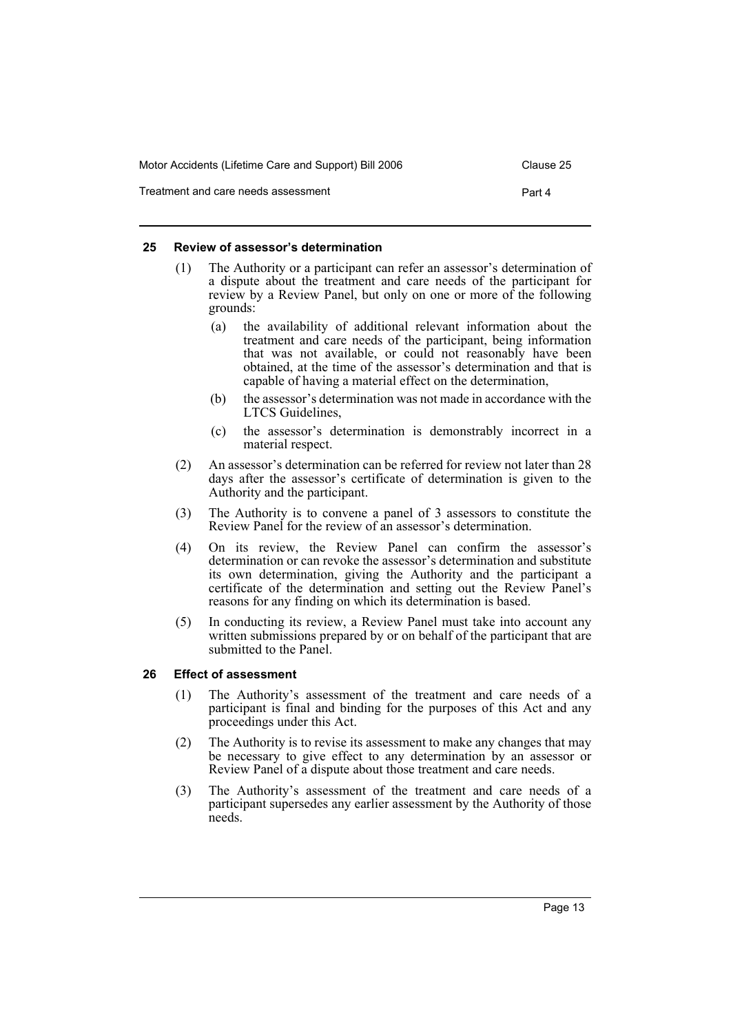| Motor Accidents (Lifetime Care and Support) Bill 2006 | Clause 25 |
|-------------------------------------------------------|-----------|
| Treatment and care needs assessment                   | Part 4    |

#### <span id="page-16-0"></span>**25 Review of assessor's determination**

- (1) The Authority or a participant can refer an assessor's determination of a dispute about the treatment and care needs of the participant for review by a Review Panel, but only on one or more of the following grounds:
	- (a) the availability of additional relevant information about the treatment and care needs of the participant, being information that was not available, or could not reasonably have been obtained, at the time of the assessor's determination and that is capable of having a material effect on the determination,
	- (b) the assessor's determination was not made in accordance with the LTCS Guidelines,
	- (c) the assessor's determination is demonstrably incorrect in a material respect.
- (2) An assessor's determination can be referred for review not later than 28 days after the assessor's certificate of determination is given to the Authority and the participant.
- (3) The Authority is to convene a panel of 3 assessors to constitute the Review Panel for the review of an assessor's determination.
- (4) On its review, the Review Panel can confirm the assessor's determination or can revoke the assessor's determination and substitute its own determination, giving the Authority and the participant a certificate of the determination and setting out the Review Panel's reasons for any finding on which its determination is based.
- (5) In conducting its review, a Review Panel must take into account any written submissions prepared by or on behalf of the participant that are submitted to the Panel.

# <span id="page-16-1"></span>**26 Effect of assessment**

- (1) The Authority's assessment of the treatment and care needs of a participant is final and binding for the purposes of this Act and any proceedings under this Act.
- (2) The Authority is to revise its assessment to make any changes that may be necessary to give effect to any determination by an assessor or Review Panel of a dispute about those treatment and care needs.
- (3) The Authority's assessment of the treatment and care needs of a participant supersedes any earlier assessment by the Authority of those needs.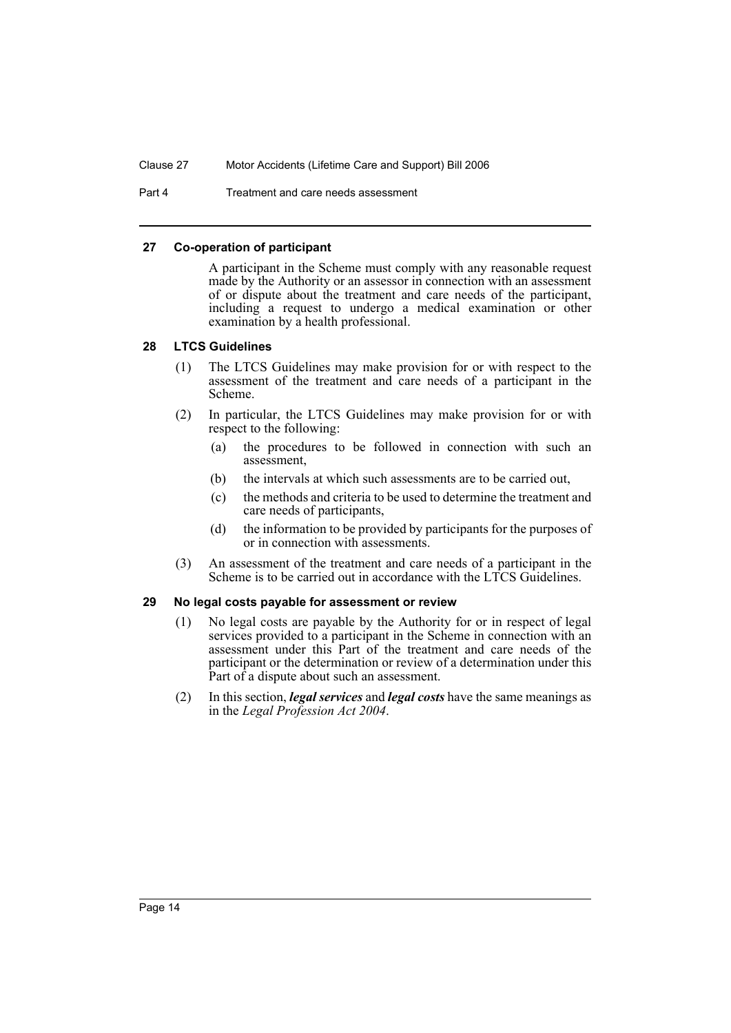Part 4 Treatment and care needs assessment

#### <span id="page-17-0"></span>**27 Co-operation of participant**

A participant in the Scheme must comply with any reasonable request made by the Authority or an assessor in connection with an assessment of or dispute about the treatment and care needs of the participant, including a request to undergo a medical examination or other examination by a health professional.

# <span id="page-17-1"></span>**28 LTCS Guidelines**

- (1) The LTCS Guidelines may make provision for or with respect to the assessment of the treatment and care needs of a participant in the Scheme.
- (2) In particular, the LTCS Guidelines may make provision for or with respect to the following:
	- (a) the procedures to be followed in connection with such an assessment,
	- (b) the intervals at which such assessments are to be carried out,
	- (c) the methods and criteria to be used to determine the treatment and care needs of participants,
	- (d) the information to be provided by participants for the purposes of or in connection with assessments.
- (3) An assessment of the treatment and care needs of a participant in the Scheme is to be carried out in accordance with the LTCS Guidelines.

# <span id="page-17-2"></span>**29 No legal costs payable for assessment or review**

- (1) No legal costs are payable by the Authority for or in respect of legal services provided to a participant in the Scheme in connection with an assessment under this Part of the treatment and care needs of the participant or the determination or review of a determination under this Part of a dispute about such an assessment.
- (2) In this section, *legal services* and *legal costs* have the same meanings as in the *Legal Profession Act 2004*.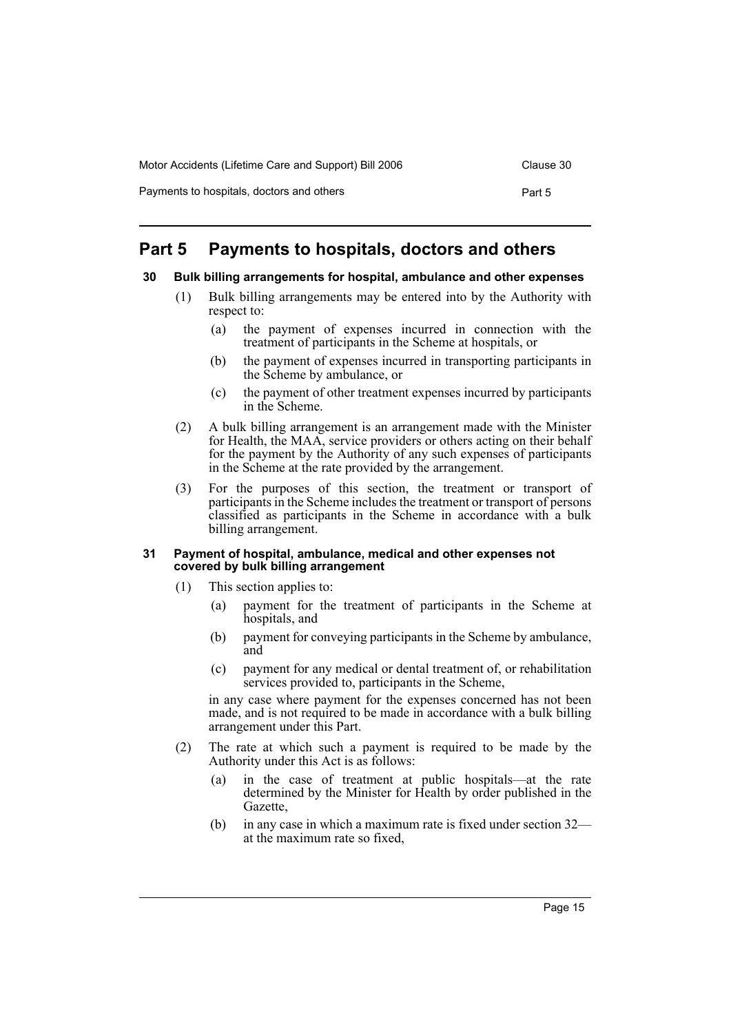| Motor Accidents (Lifetime Care and Support) Bill 2006 | Clause 30 |
|-------------------------------------------------------|-----------|
| Payments to hospitals, doctors and others             | Part 5    |

# <span id="page-18-0"></span>**Part 5 Payments to hospitals, doctors and others**

# <span id="page-18-1"></span>**30 Bulk billing arrangements for hospital, ambulance and other expenses**

- (1) Bulk billing arrangements may be entered into by the Authority with respect to:
	- (a) the payment of expenses incurred in connection with the treatment of participants in the Scheme at hospitals, or
	- (b) the payment of expenses incurred in transporting participants in the Scheme by ambulance, or
	- (c) the payment of other treatment expenses incurred by participants in the Scheme.
- (2) A bulk billing arrangement is an arrangement made with the Minister for Health, the MAA, service providers or others acting on their behalf for the payment by the Authority of any such expenses of participants in the Scheme at the rate provided by the arrangement.
- (3) For the purposes of this section, the treatment or transport of participants in the Scheme includes the treatment or transport of persons classified as participants in the Scheme in accordance with a bulk billing arrangement.

#### <span id="page-18-2"></span>**31 Payment of hospital, ambulance, medical and other expenses not covered by bulk billing arrangement**

- (1) This section applies to:
	- (a) payment for the treatment of participants in the Scheme at hospitals, and
	- (b) payment for conveying participants in the Scheme by ambulance, and
	- (c) payment for any medical or dental treatment of, or rehabilitation services provided to, participants in the Scheme,

in any case where payment for the expenses concerned has not been made, and is not required to be made in accordance with a bulk billing arrangement under this Part.

- (2) The rate at which such a payment is required to be made by the Authority under this Act is as follows:
	- (a) in the case of treatment at public hospitals—at the rate determined by the Minister for Health by order published in the Gazette,
	- (b) in any case in which a maximum rate is fixed under section 32 at the maximum rate so fixed,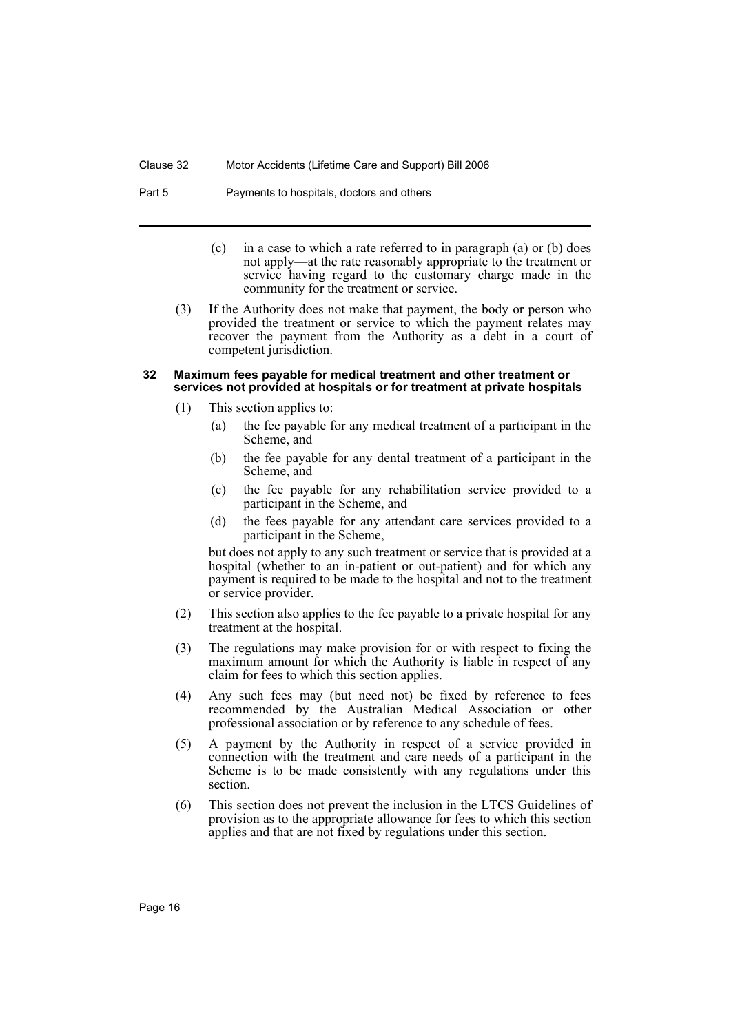Part 5 Payments to hospitals, doctors and others

- (c) in a case to which a rate referred to in paragraph (a) or (b) does not apply—at the rate reasonably appropriate to the treatment or service having regard to the customary charge made in the community for the treatment or service.
- (3) If the Authority does not make that payment, the body or person who provided the treatment or service to which the payment relates may recover the payment from the Authority as a debt in a court of competent jurisdiction.

#### <span id="page-19-0"></span>**32 Maximum fees payable for medical treatment and other treatment or services not provided at hospitals or for treatment at private hospitals**

- (1) This section applies to:
	- (a) the fee payable for any medical treatment of a participant in the Scheme, and
	- (b) the fee payable for any dental treatment of a participant in the Scheme, and
	- (c) the fee payable for any rehabilitation service provided to a participant in the Scheme, and
	- (d) the fees payable for any attendant care services provided to a participant in the Scheme,

but does not apply to any such treatment or service that is provided at a hospital (whether to an in-patient or out-patient) and for which any payment is required to be made to the hospital and not to the treatment or service provider.

- (2) This section also applies to the fee payable to a private hospital for any treatment at the hospital.
- (3) The regulations may make provision for or with respect to fixing the maximum amount for which the Authority is liable in respect of any claim for fees to which this section applies.
- (4) Any such fees may (but need not) be fixed by reference to fees recommended by the Australian Medical Association or other professional association or by reference to any schedule of fees.
- (5) A payment by the Authority in respect of a service provided in connection with the treatment and care needs of a participant in the Scheme is to be made consistently with any regulations under this section.
- (6) This section does not prevent the inclusion in the LTCS Guidelines of provision as to the appropriate allowance for fees to which this section applies and that are not fixed by regulations under this section.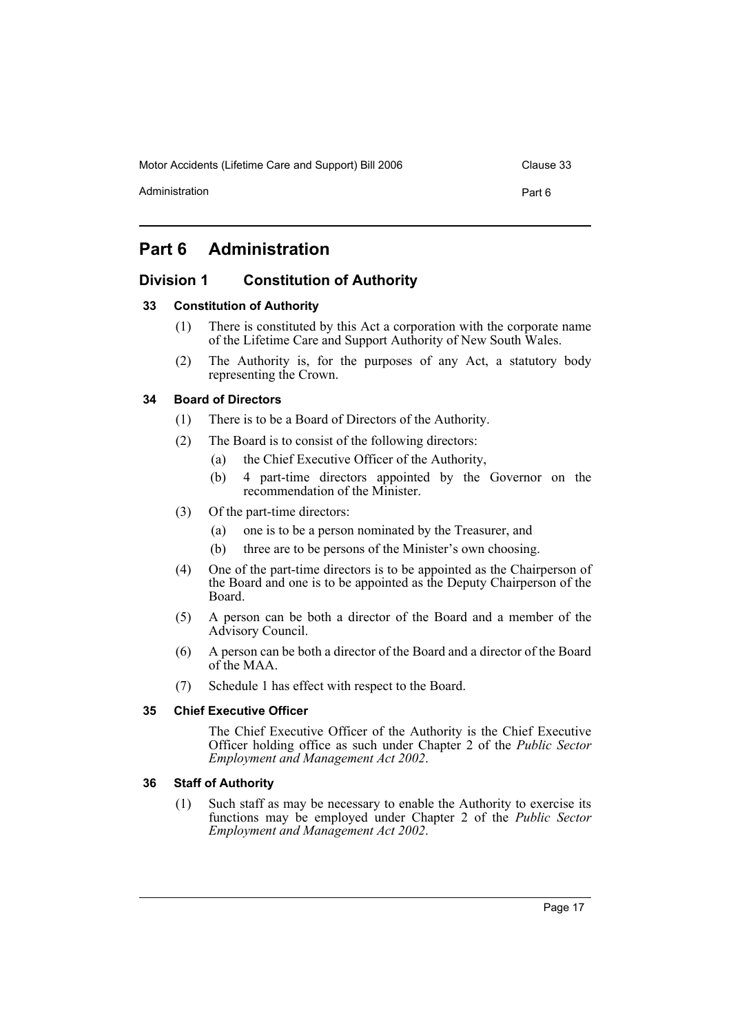Administration **Part 6** 

# <span id="page-20-0"></span>**Part 6 Administration**

# <span id="page-20-1"></span>**Division 1 Constitution of Authority**

# <span id="page-20-2"></span>**33 Constitution of Authority**

- (1) There is constituted by this Act a corporation with the corporate name of the Lifetime Care and Support Authority of New South Wales.
- (2) The Authority is, for the purposes of any Act, a statutory body representing the Crown.

# <span id="page-20-3"></span>**34 Board of Directors**

- (1) There is to be a Board of Directors of the Authority.
- (2) The Board is to consist of the following directors:
	- (a) the Chief Executive Officer of the Authority,
	- (b) 4 part-time directors appointed by the Governor on the recommendation of the Minister.
- (3) Of the part-time directors:
	- (a) one is to be a person nominated by the Treasurer, and
	- (b) three are to be persons of the Minister's own choosing.
- (4) One of the part-time directors is to be appointed as the Chairperson of the Board and one is to be appointed as the Deputy Chairperson of the Board.
- (5) A person can be both a director of the Board and a member of the Advisory Council.
- (6) A person can be both a director of the Board and a director of the Board of the MAA.
- (7) Schedule 1 has effect with respect to the Board.

#### <span id="page-20-4"></span>**35 Chief Executive Officer**

The Chief Executive Officer of the Authority is the Chief Executive Officer holding office as such under Chapter 2 of the *Public Sector Employment and Management Act 2002*.

# <span id="page-20-5"></span>**36 Staff of Authority**

(1) Such staff as may be necessary to enable the Authority to exercise its functions may be employed under Chapter 2 of the *Public Sector Employment and Management Act 2002*.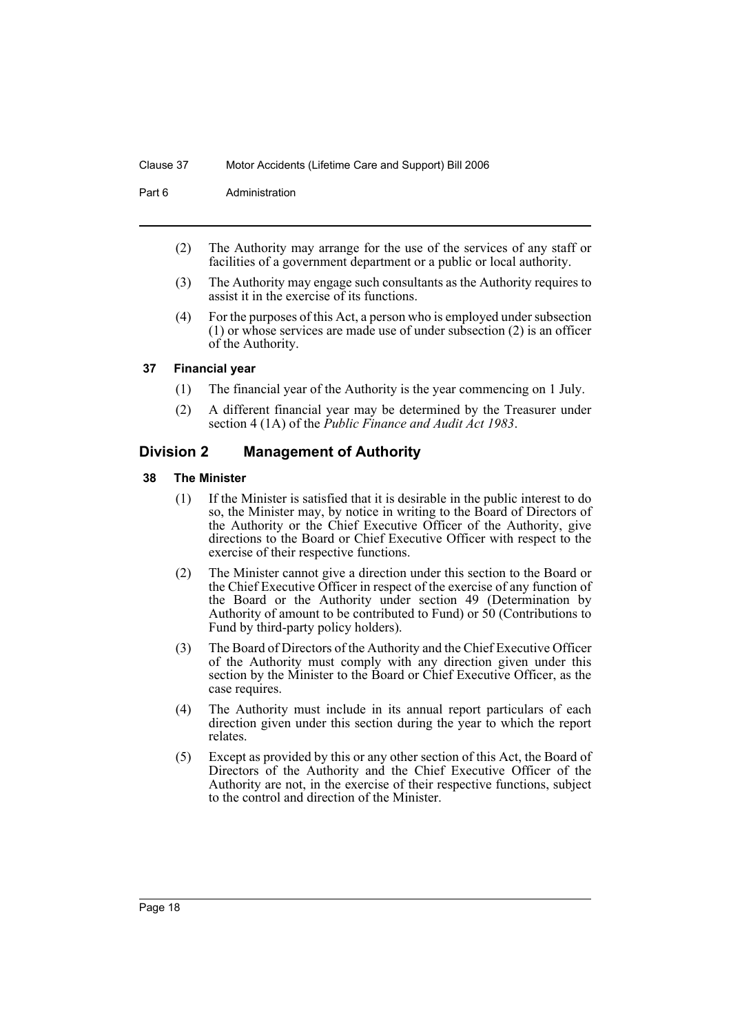Part 6 **Administration** 

- (2) The Authority may arrange for the use of the services of any staff or facilities of a government department or a public or local authority.
- (3) The Authority may engage such consultants as the Authority requires to assist it in the exercise of its functions.
- (4) For the purposes of this Act, a person who is employed under subsection (1) or whose services are made use of under subsection (2) is an officer of the Authority.

# <span id="page-21-0"></span>**37 Financial year**

- (1) The financial year of the Authority is the year commencing on 1 July.
- (2) A different financial year may be determined by the Treasurer under section 4 (1A) of the *Public Finance and Audit Act 1983*.

# <span id="page-21-1"></span>**Division 2 Management of Authority**

# <span id="page-21-2"></span>**38 The Minister**

- (1) If the Minister is satisfied that it is desirable in the public interest to do so, the Minister may, by notice in writing to the Board of Directors of the Authority or the Chief Executive Officer of the Authority, give directions to the Board or Chief Executive Officer with respect to the exercise of their respective functions.
- (2) The Minister cannot give a direction under this section to the Board or the Chief Executive Officer in respect of the exercise of any function of the Board or the Authority under section 49 (Determination by Authority of amount to be contributed to Fund) or 50 (Contributions to Fund by third-party policy holders).
- (3) The Board of Directors of the Authority and the Chief Executive Officer of the Authority must comply with any direction given under this section by the Minister to the Board or Chief Executive Officer, as the case requires.
- (4) The Authority must include in its annual report particulars of each direction given under this section during the year to which the report relates.
- (5) Except as provided by this or any other section of this Act, the Board of Directors of the Authority and the Chief Executive Officer of the Authority are not, in the exercise of their respective functions, subject to the control and direction of the Minister.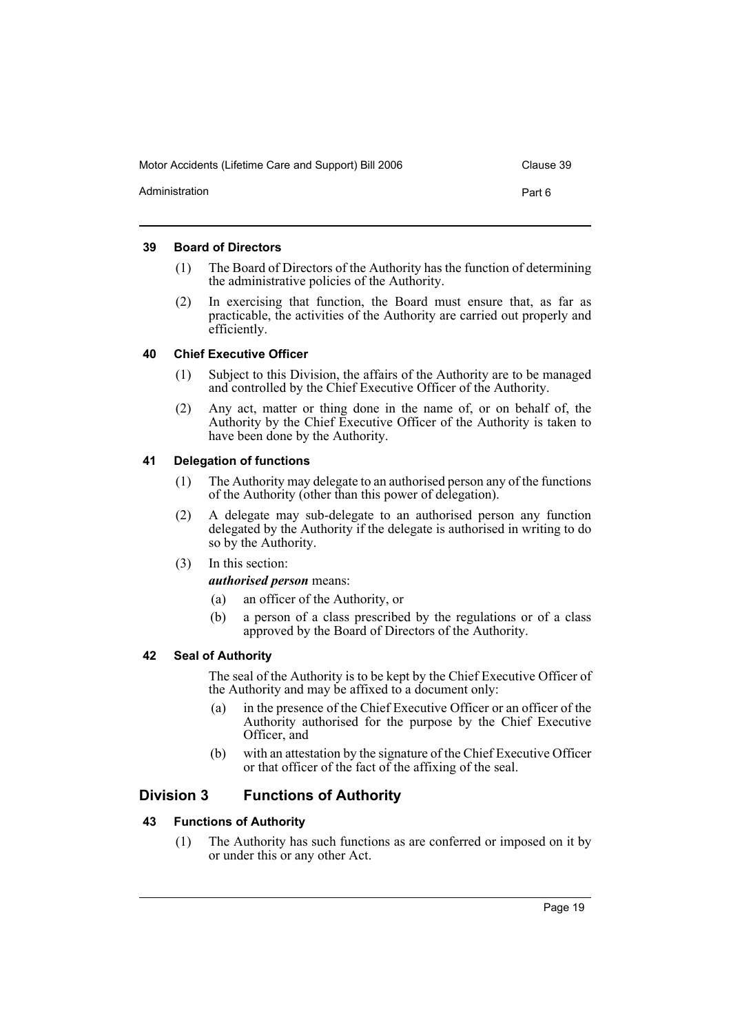Motor Accidents (Lifetime Care and Support) Bill 2006 Clause 39 Administration **Part 6** 

# <span id="page-22-0"></span>**39 Board of Directors**

- (1) The Board of Directors of the Authority has the function of determining the administrative policies of the Authority.
- (2) In exercising that function, the Board must ensure that, as far as practicable, the activities of the Authority are carried out properly and efficiently.

# <span id="page-22-1"></span>**40 Chief Executive Officer**

- (1) Subject to this Division, the affairs of the Authority are to be managed and controlled by the Chief Executive Officer of the Authority.
- (2) Any act, matter or thing done in the name of, or on behalf of, the Authority by the Chief Executive Officer of the Authority is taken to have been done by the Authority.

# <span id="page-22-2"></span>**41 Delegation of functions**

- (1) The Authority may delegate to an authorised person any of the functions of the Authority (other than this power of delegation).
- (2) A delegate may sub-delegate to an authorised person any function delegated by the Authority if the delegate is authorised in writing to do so by the Authority.
- (3) In this section:

# *authorised person* means:

- (a) an officer of the Authority, or
- (b) a person of a class prescribed by the regulations or of a class approved by the Board of Directors of the Authority.

#### <span id="page-22-3"></span>**42 Seal of Authority**

The seal of the Authority is to be kept by the Chief Executive Officer of the Authority and may be affixed to a document only:

- (a) in the presence of the Chief Executive Officer or an officer of the Authority authorised for the purpose by the Chief Executive Officer, and
- (b) with an attestation by the signature of the Chief Executive Officer or that officer of the fact of the affixing of the seal.

# <span id="page-22-4"></span>**Division 3 Functions of Authority**

# <span id="page-22-5"></span>**43 Functions of Authority**

(1) The Authority has such functions as are conferred or imposed on it by or under this or any other Act.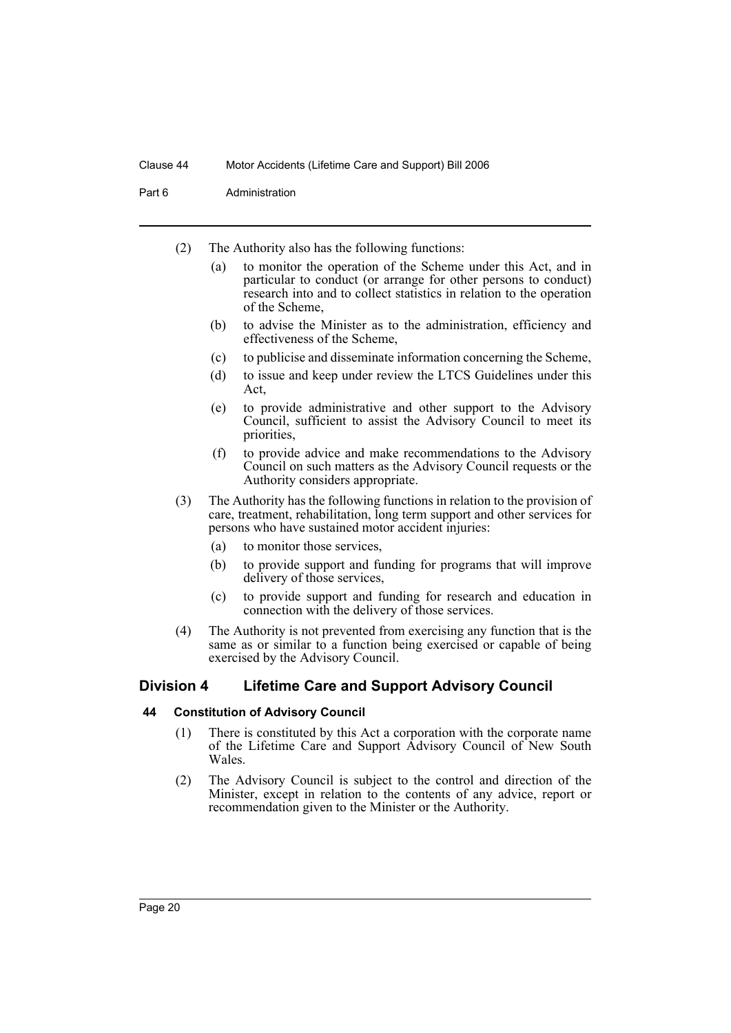Part 6 **Administration** 

- (2) The Authority also has the following functions:
	- (a) to monitor the operation of the Scheme under this Act, and in particular to conduct (or arrange for other persons to conduct) research into and to collect statistics in relation to the operation of the Scheme,
	- (b) to advise the Minister as to the administration, efficiency and effectiveness of the Scheme,
	- (c) to publicise and disseminate information concerning the Scheme,
	- (d) to issue and keep under review the LTCS Guidelines under this Act,
	- (e) to provide administrative and other support to the Advisory Council, sufficient to assist the Advisory Council to meet its priorities,
	- (f) to provide advice and make recommendations to the Advisory Council on such matters as the Advisory Council requests or the Authority considers appropriate.
- (3) The Authority has the following functions in relation to the provision of care, treatment, rehabilitation, long term support and other services for persons who have sustained motor accident injuries:
	- (a) to monitor those services,
	- (b) to provide support and funding for programs that will improve delivery of those services,
	- (c) to provide support and funding for research and education in connection with the delivery of those services.
- (4) The Authority is not prevented from exercising any function that is the same as or similar to a function being exercised or capable of being exercised by the Advisory Council.

# <span id="page-23-0"></span>**Division 4 Lifetime Care and Support Advisory Council**

#### <span id="page-23-1"></span>**44 Constitution of Advisory Council**

- (1) There is constituted by this Act a corporation with the corporate name of the Lifetime Care and Support Advisory Council of New South Wales.
- (2) The Advisory Council is subject to the control and direction of the Minister, except in relation to the contents of any advice, report or recommendation given to the Minister or the Authority.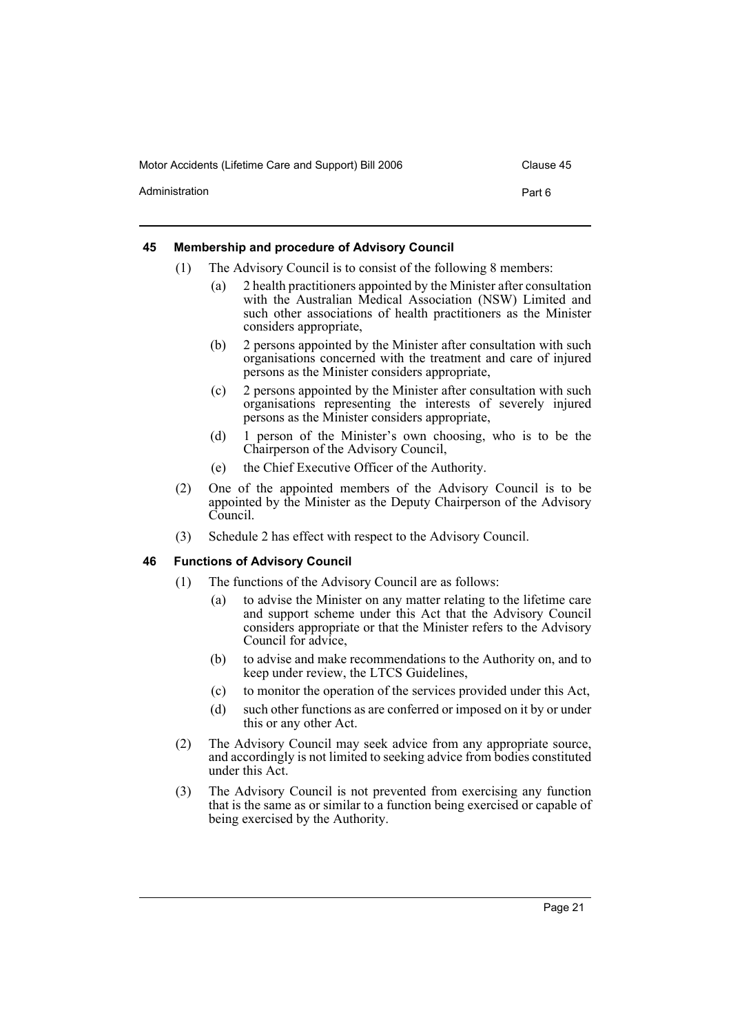|                | . |  |        |
|----------------|---|--|--------|
| Administration |   |  | Part 6 |
|                |   |  |        |

# <span id="page-24-0"></span>**45 Membership and procedure of Advisory Council**

- (1) The Advisory Council is to consist of the following 8 members:
	- (a) 2 health practitioners appointed by the Minister after consultation with the Australian Medical Association (NSW) Limited and such other associations of health practitioners as the Minister considers appropriate,
	- (b) 2 persons appointed by the Minister after consultation with such organisations concerned with the treatment and care of injured persons as the Minister considers appropriate,
	- (c) 2 persons appointed by the Minister after consultation with such organisations representing the interests of severely injured persons as the Minister considers appropriate,
	- (d) 1 person of the Minister's own choosing, who is to be the Chairperson of the Advisory Council,
	- (e) the Chief Executive Officer of the Authority.
- (2) One of the appointed members of the Advisory Council is to be appointed by the Minister as the Deputy Chairperson of the Advisory Council.
- (3) Schedule 2 has effect with respect to the Advisory Council.

# <span id="page-24-1"></span>**46 Functions of Advisory Council**

- (1) The functions of the Advisory Council are as follows:
	- (a) to advise the Minister on any matter relating to the lifetime care and support scheme under this Act that the Advisory Council considers appropriate or that the Minister refers to the Advisory Council for advice,
	- (b) to advise and make recommendations to the Authority on, and to keep under review, the LTCS Guidelines,
	- (c) to monitor the operation of the services provided under this Act,
	- (d) such other functions as are conferred or imposed on it by or under this or any other Act.
- (2) The Advisory Council may seek advice from any appropriate source, and accordingly is not limited to seeking advice from bodies constituted under this Act.
- (3) The Advisory Council is not prevented from exercising any function that is the same as or similar to a function being exercised or capable of being exercised by the Authority.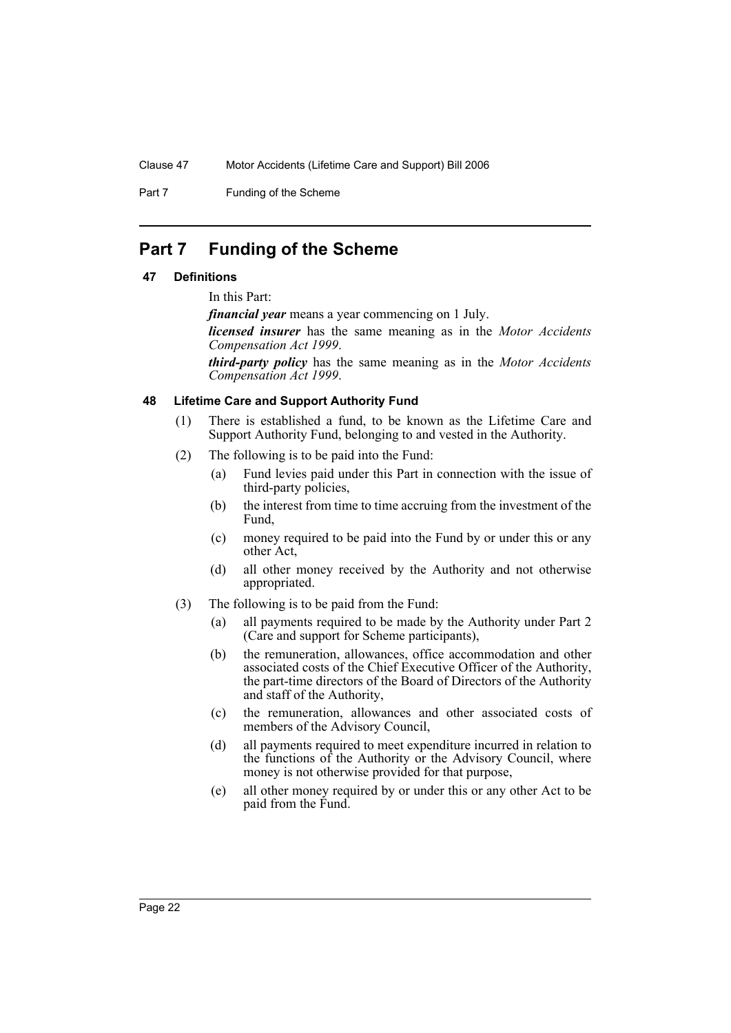Part 7 Funding of the Scheme

# <span id="page-25-0"></span>**Part 7 Funding of the Scheme**

# <span id="page-25-1"></span>**47 Definitions**

In this Part:

*financial year* means a year commencing on 1 July.

*licensed insurer* has the same meaning as in the *Motor Accidents Compensation Act 1999*.

*third-party policy* has the same meaning as in the *Motor Accidents Compensation Act 1999*.

#### <span id="page-25-2"></span>**48 Lifetime Care and Support Authority Fund**

- (1) There is established a fund, to be known as the Lifetime Care and Support Authority Fund, belonging to and vested in the Authority.
- (2) The following is to be paid into the Fund:
	- (a) Fund levies paid under this Part in connection with the issue of third-party policies,
	- (b) the interest from time to time accruing from the investment of the Fund,
	- (c) money required to be paid into the Fund by or under this or any other Act,
	- (d) all other money received by the Authority and not otherwise appropriated.
- (3) The following is to be paid from the Fund:
	- (a) all payments required to be made by the Authority under Part 2 (Care and support for Scheme participants),
	- (b) the remuneration, allowances, office accommodation and other associated costs of the Chief Executive Officer of the Authority, the part-time directors of the Board of Directors of the Authority and staff of the Authority,
	- (c) the remuneration, allowances and other associated costs of members of the Advisory Council,
	- (d) all payments required to meet expenditure incurred in relation to the functions of the Authority or the Advisory Council, where money is not otherwise provided for that purpose,
	- (e) all other money required by or under this or any other Act to be paid from the Fund.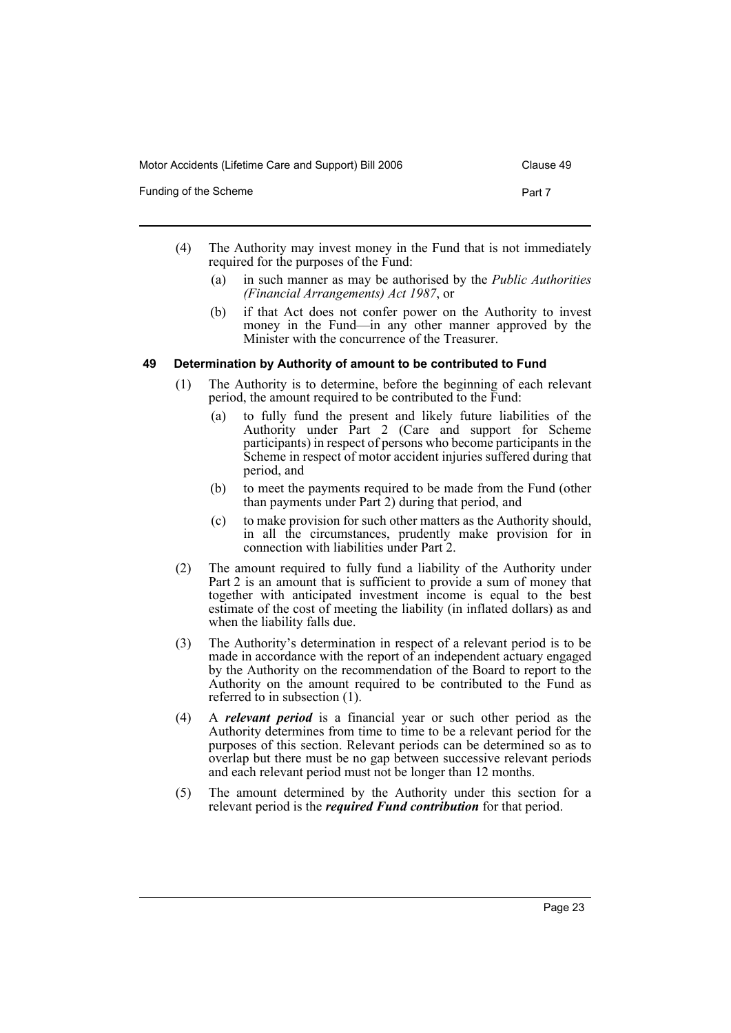| Funding of the Scheme | Part 7 |
|-----------------------|--------|
|                       |        |

- (4) The Authority may invest money in the Fund that is not immediately required for the purposes of the Fund:
	- (a) in such manner as may be authorised by the *Public Authorities (Financial Arrangements) Act 1987*, or
	- (b) if that Act does not confer power on the Authority to invest money in the Fund—in any other manner approved by the Minister with the concurrence of the Treasurer.

# <span id="page-26-0"></span>**49 Determination by Authority of amount to be contributed to Fund**

- (1) The Authority is to determine, before the beginning of each relevant period, the amount required to be contributed to the Fund:
	- (a) to fully fund the present and likely future liabilities of the Authority under Part 2 (Care and support for Scheme participants) in respect of persons who become participants in the Scheme in respect of motor accident injuries suffered during that period, and
	- (b) to meet the payments required to be made from the Fund (other than payments under Part 2) during that period, and
	- (c) to make provision for such other matters as the Authority should, in all the circumstances, prudently make provision for in connection with liabilities under Part 2.
- (2) The amount required to fully fund a liability of the Authority under Part 2 is an amount that is sufficient to provide a sum of money that together with anticipated investment income is equal to the best estimate of the cost of meeting the liability (in inflated dollars) as and when the liability falls due.
- (3) The Authority's determination in respect of a relevant period is to be made in accordance with the report of an independent actuary engaged by the Authority on the recommendation of the Board to report to the Authority on the amount required to be contributed to the Fund as referred to in subsection (1).
- (4) A *relevant period* is a financial year or such other period as the Authority determines from time to time to be a relevant period for the purposes of this section. Relevant periods can be determined so as to overlap but there must be no gap between successive relevant periods and each relevant period must not be longer than 12 months.
- (5) The amount determined by the Authority under this section for a relevant period is the *required Fund contribution* for that period.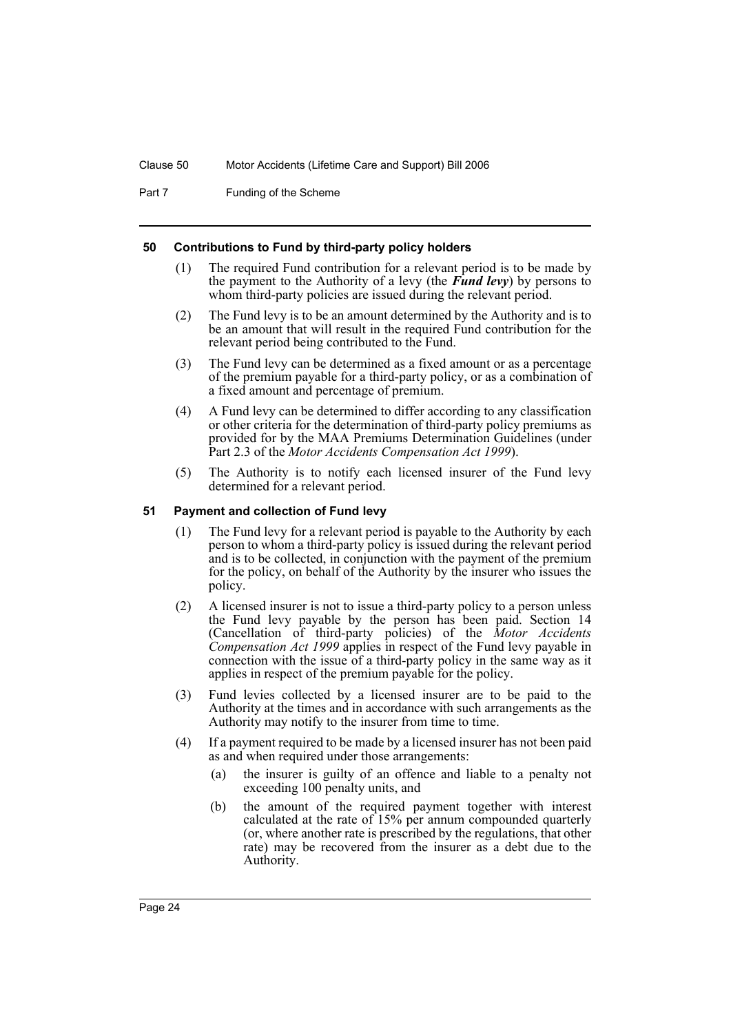Part 7 Funding of the Scheme

#### <span id="page-27-0"></span>**50 Contributions to Fund by third-party policy holders**

- (1) The required Fund contribution for a relevant period is to be made by the payment to the Authority of a levy (the *Fund levy*) by persons to whom third-party policies are issued during the relevant period.
- (2) The Fund levy is to be an amount determined by the Authority and is to be an amount that will result in the required Fund contribution for the relevant period being contributed to the Fund.
- (3) The Fund levy can be determined as a fixed amount or as a percentage of the premium payable for a third-party policy, or as a combination of a fixed amount and percentage of premium.
- (4) A Fund levy can be determined to differ according to any classification or other criteria for the determination of third-party policy premiums as provided for by the MAA Premiums Determination Guidelines (under Part 2.3 of the *Motor Accidents Compensation Act 1999*).
- (5) The Authority is to notify each licensed insurer of the Fund levy determined for a relevant period.

#### <span id="page-27-1"></span>**51 Payment and collection of Fund levy**

- (1) The Fund levy for a relevant period is payable to the Authority by each person to whom a third-party policy is issued during the relevant period and is to be collected, in conjunction with the payment of the premium for the policy, on behalf of the Authority by the insurer who issues the policy.
- (2) A licensed insurer is not to issue a third-party policy to a person unless the Fund levy payable by the person has been paid. Section 14 (Cancellation of third-party policies) of the *Motor Accidents Compensation Act 1999* applies in respect of the Fund levy payable in connection with the issue of a third-party policy in the same way as it applies in respect of the premium payable for the policy.
- (3) Fund levies collected by a licensed insurer are to be paid to the Authority at the times and in accordance with such arrangements as the Authority may notify to the insurer from time to time.
- (4) If a payment required to be made by a licensed insurer has not been paid as and when required under those arrangements:
	- (a) the insurer is guilty of an offence and liable to a penalty not exceeding 100 penalty units, and
	- (b) the amount of the required payment together with interest calculated at the rate of 15% per annum compounded quarterly (or, where another rate is prescribed by the regulations, that other rate) may be recovered from the insurer as a debt due to the Authority.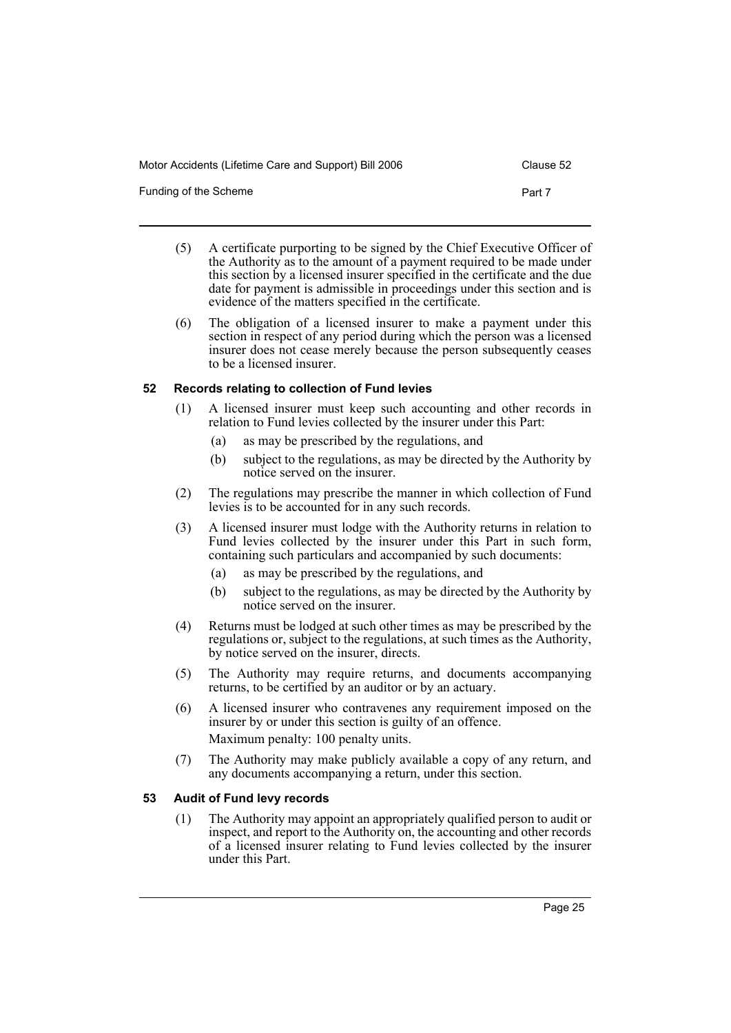Funding of the Scheme **Part 7** 

- (5) A certificate purporting to be signed by the Chief Executive Officer of the Authority as to the amount of a payment required to be made under this section by a licensed insurer specified in the certificate and the due date for payment is admissible in proceedings under this section and is evidence of the matters specified in the certificate.
- (6) The obligation of a licensed insurer to make a payment under this section in respect of any period during which the person was a licensed insurer does not cease merely because the person subsequently ceases to be a licensed insurer.

#### <span id="page-28-0"></span>**52 Records relating to collection of Fund levies**

- (1) A licensed insurer must keep such accounting and other records in relation to Fund levies collected by the insurer under this Part:
	- (a) as may be prescribed by the regulations, and
	- (b) subject to the regulations, as may be directed by the Authority by notice served on the insurer.
- (2) The regulations may prescribe the manner in which collection of Fund levies is to be accounted for in any such records.
- (3) A licensed insurer must lodge with the Authority returns in relation to Fund levies collected by the insurer under this Part in such form, containing such particulars and accompanied by such documents:
	- (a) as may be prescribed by the regulations, and
	- (b) subject to the regulations, as may be directed by the Authority by notice served on the insurer.
- (4) Returns must be lodged at such other times as may be prescribed by the regulations or, subject to the regulations, at such times as the Authority, by notice served on the insurer, directs.
- (5) The Authority may require returns, and documents accompanying returns, to be certified by an auditor or by an actuary.
- (6) A licensed insurer who contravenes any requirement imposed on the insurer by or under this section is guilty of an offence. Maximum penalty: 100 penalty units.
- (7) The Authority may make publicly available a copy of any return, and any documents accompanying a return, under this section.

# <span id="page-28-1"></span>**53 Audit of Fund levy records**

(1) The Authority may appoint an appropriately qualified person to audit or inspect, and report to the Authority on, the accounting and other records of a licensed insurer relating to Fund levies collected by the insurer under this Part.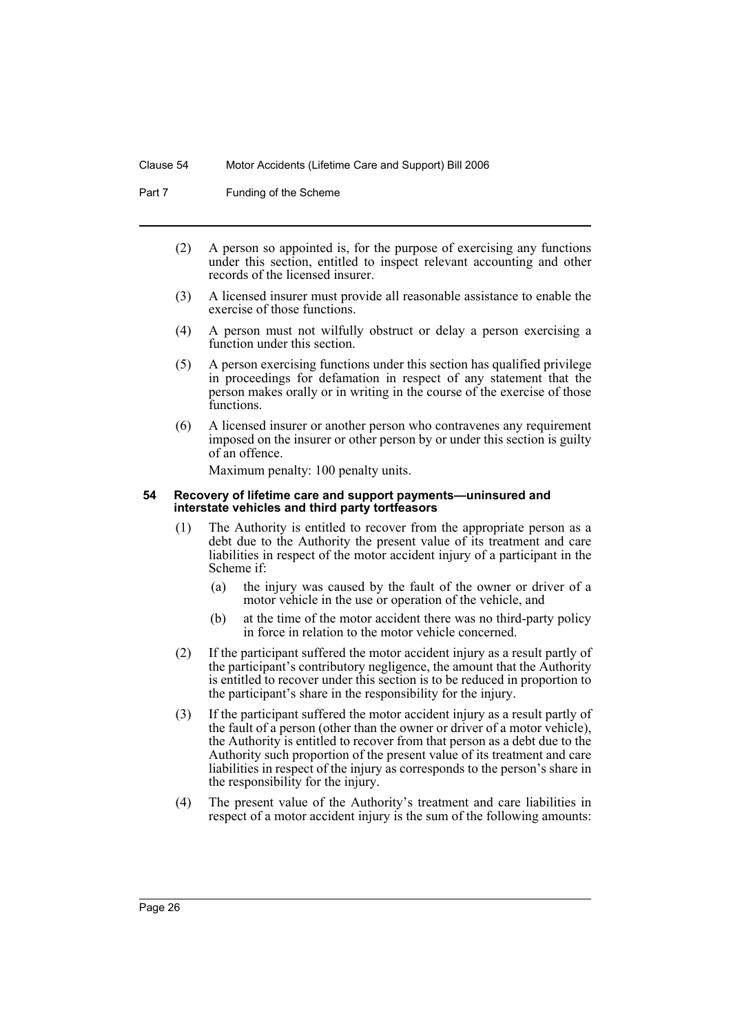Part 7 Funding of the Scheme

- (2) A person so appointed is, for the purpose of exercising any functions under this section, entitled to inspect relevant accounting and other records of the licensed insurer.
- (3) A licensed insurer must provide all reasonable assistance to enable the exercise of those functions.
- (4) A person must not wilfully obstruct or delay a person exercising a function under this section.
- (5) A person exercising functions under this section has qualified privilege in proceedings for defamation in respect of any statement that the person makes orally or in writing in the course of the exercise of those functions.
- (6) A licensed insurer or another person who contravenes any requirement imposed on the insurer or other person by or under this section is guilty of an offence.

Maximum penalty: 100 penalty units.

#### <span id="page-29-0"></span>**54 Recovery of lifetime care and support payments—uninsured and interstate vehicles and third party tortfeasors**

- (1) The Authority is entitled to recover from the appropriate person as a debt due to the Authority the present value of its treatment and care liabilities in respect of the motor accident injury of a participant in the Scheme if:
	- (a) the injury was caused by the fault of the owner or driver of a motor vehicle in the use or operation of the vehicle, and
	- (b) at the time of the motor accident there was no third-party policy in force in relation to the motor vehicle concerned.
- (2) If the participant suffered the motor accident injury as a result partly of the participant's contributory negligence, the amount that the Authority is entitled to recover under this section is to be reduced in proportion to the participant's share in the responsibility for the injury.
- (3) If the participant suffered the motor accident injury as a result partly of the fault of a person (other than the owner or driver of a motor vehicle), the Authority is entitled to recover from that person as a debt due to the Authority such proportion of the present value of its treatment and care liabilities in respect of the injury as corresponds to the person's share in the responsibility for the injury.
- (4) The present value of the Authority's treatment and care liabilities in respect of a motor accident injury is the sum of the following amounts: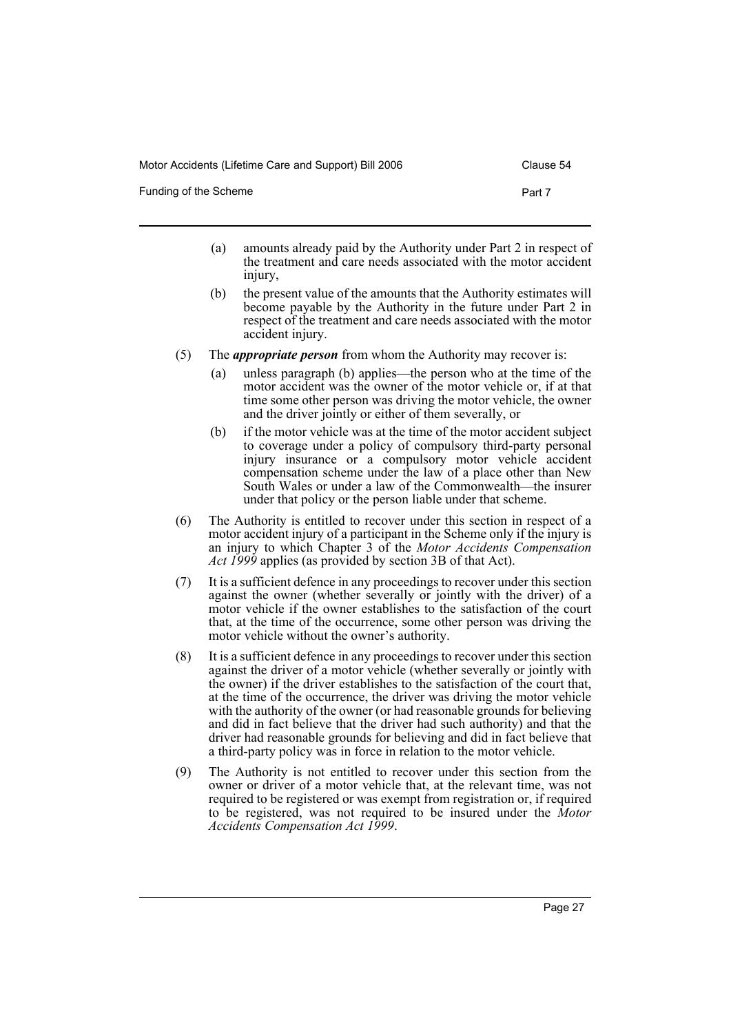Funding of the Scheme **Part 7** 

- (a) amounts already paid by the Authority under Part 2 in respect of the treatment and care needs associated with the motor accident injury,
- (b) the present value of the amounts that the Authority estimates will become payable by the Authority in the future under Part 2 in respect of the treatment and care needs associated with the motor accident injury.
- (5) The *appropriate person* from whom the Authority may recover is:
	- (a) unless paragraph (b) applies—the person who at the time of the motor accident was the owner of the motor vehicle or, if at that time some other person was driving the motor vehicle, the owner and the driver jointly or either of them severally, or
	- (b) if the motor vehicle was at the time of the motor accident subject to coverage under a policy of compulsory third-party personal injury insurance or a compulsory motor vehicle accident compensation scheme under the law of a place other than New South Wales or under a law of the Commonwealth—the insurer under that policy or the person liable under that scheme.
- (6) The Authority is entitled to recover under this section in respect of a motor accident injury of a participant in the Scheme only if the injury is an injury to which Chapter 3 of the *Motor Accidents Compensation Act 1999* applies (as provided by section 3B of that Act).
- (7) It is a sufficient defence in any proceedings to recover under this section against the owner (whether severally or jointly with the driver) of a motor vehicle if the owner establishes to the satisfaction of the court that, at the time of the occurrence, some other person was driving the motor vehicle without the owner's authority.
- (8) It is a sufficient defence in any proceedings to recover under this section against the driver of a motor vehicle (whether severally or jointly with the owner) if the driver establishes to the satisfaction of the court that, at the time of the occurrence, the driver was driving the motor vehicle with the authority of the owner (or had reasonable grounds for believing and did in fact believe that the driver had such authority) and that the driver had reasonable grounds for believing and did in fact believe that a third-party policy was in force in relation to the motor vehicle.
- (9) The Authority is not entitled to recover under this section from the owner or driver of a motor vehicle that, at the relevant time, was not required to be registered or was exempt from registration or, if required to be registered, was not required to be insured under the *Motor Accidents Compensation Act 1999*.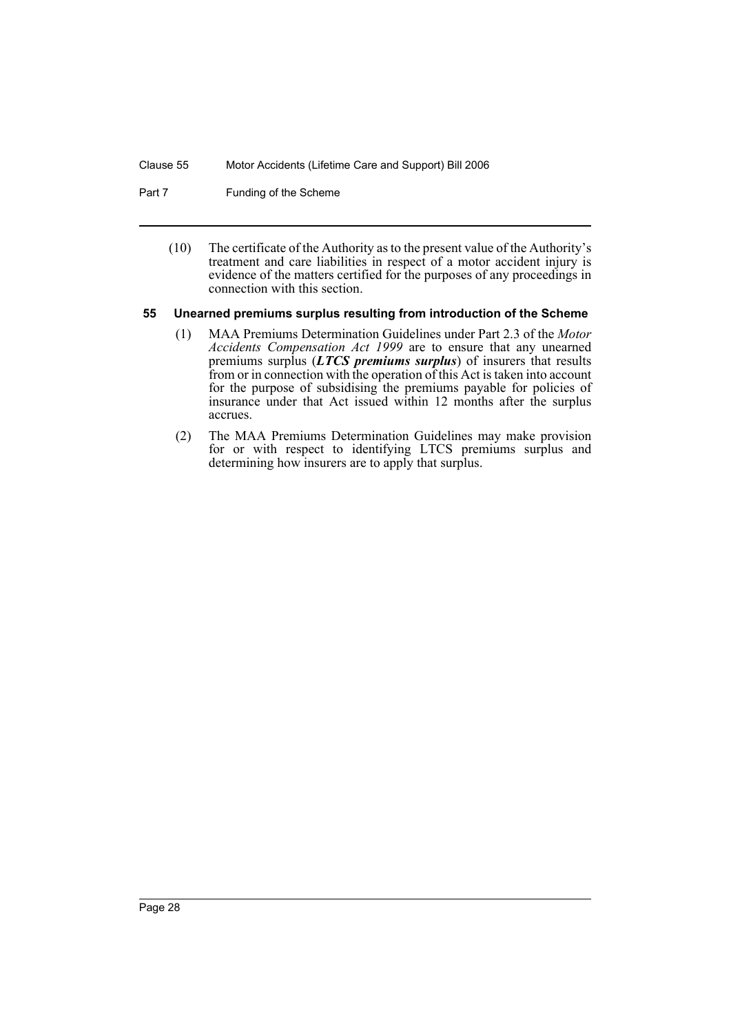- Part 7 Funding of the Scheme
	- (10) The certificate of the Authority as to the present value of the Authority's treatment and care liabilities in respect of a motor accident injury is evidence of the matters certified for the purposes of any proceedings in connection with this section.

#### <span id="page-31-0"></span>**55 Unearned premiums surplus resulting from introduction of the Scheme**

- (1) MAA Premiums Determination Guidelines under Part 2.3 of the *Motor Accidents Compensation Act 1999* are to ensure that any unearned premiums surplus (*LTCS premiums surplus*) of insurers that results from or in connection with the operation of this Act is taken into account for the purpose of subsidising the premiums payable for policies of insurance under that Act issued within 12 months after the surplus accrues.
- (2) The MAA Premiums Determination Guidelines may make provision for or with respect to identifying LTCS premiums surplus and determining how insurers are to apply that surplus.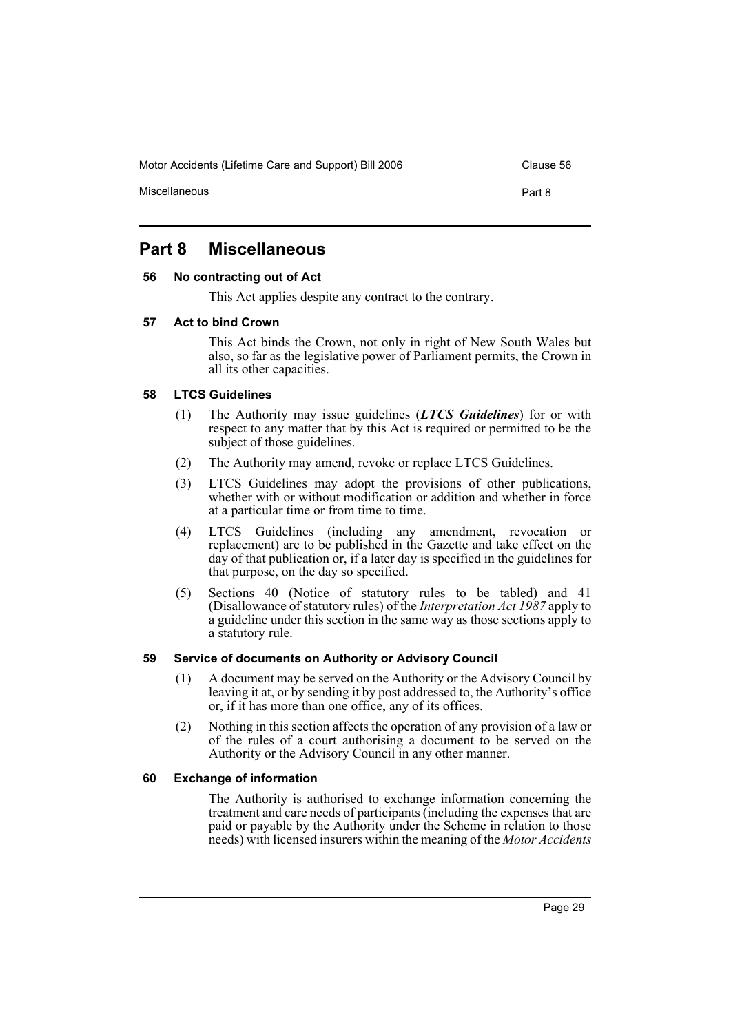Miscellaneous **Part 8** 

# <span id="page-32-0"></span>**Part 8 Miscellaneous**

# <span id="page-32-1"></span>**56 No contracting out of Act**

This Act applies despite any contract to the contrary.

# <span id="page-32-2"></span>**57 Act to bind Crown**

This Act binds the Crown, not only in right of New South Wales but also, so far as the legislative power of Parliament permits, the Crown in all its other capacities.

# <span id="page-32-3"></span>**58 LTCS Guidelines**

- (1) The Authority may issue guidelines (*LTCS Guidelines*) for or with respect to any matter that by this Act is required or permitted to be the subject of those guidelines.
- (2) The Authority may amend, revoke or replace LTCS Guidelines.
- (3) LTCS Guidelines may adopt the provisions of other publications, whether with or without modification or addition and whether in force at a particular time or from time to time.
- (4) LTCS Guidelines (including any amendment, revocation or replacement) are to be published in the Gazette and take effect on the day of that publication or, if a later day is specified in the guidelines for that purpose, on the day so specified.
- (5) Sections 40 (Notice of statutory rules to be tabled) and 41 (Disallowance of statutory rules) of the *Interpretation Act 1987* apply to a guideline under this section in the same way as those sections apply to a statutory rule.

# <span id="page-32-4"></span>**59 Service of documents on Authority or Advisory Council**

- (1) A document may be served on the Authority or the Advisory Council by leaving it at, or by sending it by post addressed to, the Authority's office or, if it has more than one office, any of its offices.
- (2) Nothing in this section affects the operation of any provision of a law or of the rules of a court authorising a document to be served on the Authority or the Advisory Council in any other manner.

# <span id="page-32-5"></span>**60 Exchange of information**

The Authority is authorised to exchange information concerning the treatment and care needs of participants (including the expenses that are paid or payable by the Authority under the Scheme in relation to those needs) with licensed insurers within the meaning of the *Motor Accidents*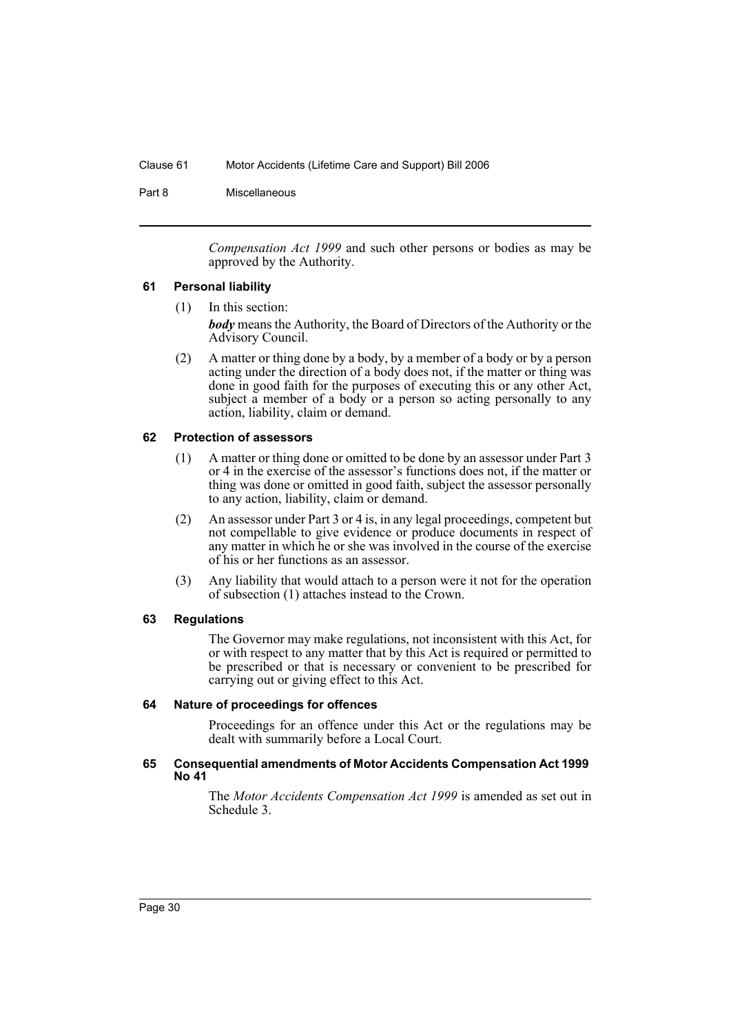Part 8 Miscellaneous

*Compensation Act 1999* and such other persons or bodies as may be approved by the Authority.

#### <span id="page-33-0"></span>**61 Personal liability**

- (1) In this section: *body* means the Authority, the Board of Directors of the Authority or the Advisory Council.
- (2) A matter or thing done by a body, by a member of a body or by a person acting under the direction of a body does not, if the matter or thing was done in good faith for the purposes of executing this or any other Act, subject a member of a body or a person so acting personally to any action, liability, claim or demand.

#### <span id="page-33-1"></span>**62 Protection of assessors**

- (1) A matter or thing done or omitted to be done by an assessor under Part 3 or 4 in the exercise of the assessor's functions does not, if the matter or thing was done or omitted in good faith, subject the assessor personally to any action, liability, claim or demand.
- (2) An assessor under Part 3 or 4 is, in any legal proceedings, competent but not compellable to give evidence or produce documents in respect of any matter in which he or she was involved in the course of the exercise of his or her functions as an assessor.
- (3) Any liability that would attach to a person were it not for the operation of subsection (1) attaches instead to the Crown.

#### <span id="page-33-2"></span>**63 Regulations**

The Governor may make regulations, not inconsistent with this Act, for or with respect to any matter that by this Act is required or permitted to be prescribed or that is necessary or convenient to be prescribed for carrying out or giving effect to this Act.

#### <span id="page-33-3"></span>**64 Nature of proceedings for offences**

Proceedings for an offence under this Act or the regulations may be dealt with summarily before a Local Court.

#### <span id="page-33-4"></span>**65 Consequential amendments of Motor Accidents Compensation Act 1999 No 41**

The *Motor Accidents Compensation Act 1999* is amended as set out in Schedule 3.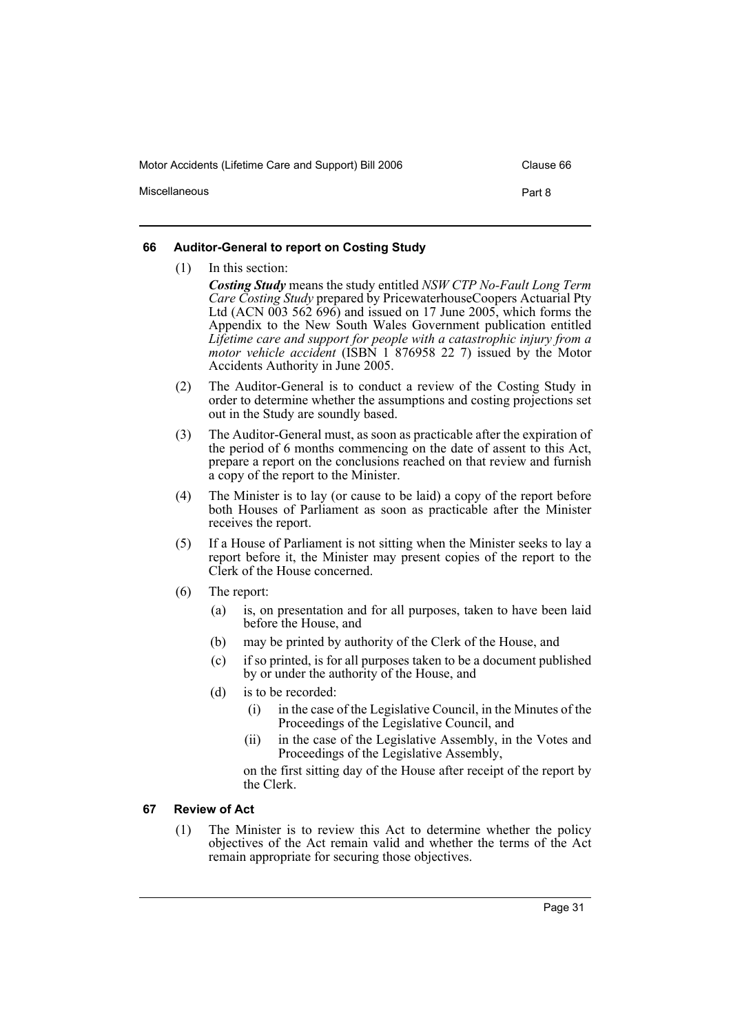Miscellaneous **Part 8** 

#### <span id="page-34-0"></span>**66 Auditor-General to report on Costing Study**

(1) In this section: *Costing Study* means the study entitled *NSW CTP No-Fault Long Term Care Costing Study* prepared by PricewaterhouseCoopers Actuarial Pty Ltd (ACN 003 562 696) and issued on 17 June 2005, which forms the Appendix to the New South Wales Government publication entitled *Lifetime care and support for people with a catastrophic injury from a motor vehicle accident* (ISBN 1 876958 22 7) issued by the Motor Accidents Authority in June 2005.

- (2) The Auditor-General is to conduct a review of the Costing Study in order to determine whether the assumptions and costing projections set out in the Study are soundly based.
- (3) The Auditor-General must, as soon as practicable after the expiration of the period of 6 months commencing on the date of assent to this Act, prepare a report on the conclusions reached on that review and furnish a copy of the report to the Minister.
- (4) The Minister is to lay (or cause to be laid) a copy of the report before both Houses of Parliament as soon as practicable after the Minister receives the report.
- (5) If a House of Parliament is not sitting when the Minister seeks to lay a report before it, the Minister may present copies of the report to the Clerk of the House concerned.
- (6) The report:
	- (a) is, on presentation and for all purposes, taken to have been laid before the House, and
	- (b) may be printed by authority of the Clerk of the House, and
	- (c) if so printed, is for all purposes taken to be a document published by or under the authority of the House, and
	- (d) is to be recorded:
		- (i) in the case of the Legislative Council, in the Minutes of the Proceedings of the Legislative Council, and
		- (ii) in the case of the Legislative Assembly, in the Votes and Proceedings of the Legislative Assembly,

on the first sitting day of the House after receipt of the report by the Clerk.

#### <span id="page-34-1"></span>**67 Review of Act**

(1) The Minister is to review this Act to determine whether the policy objectives of the Act remain valid and whether the terms of the Act remain appropriate for securing those objectives.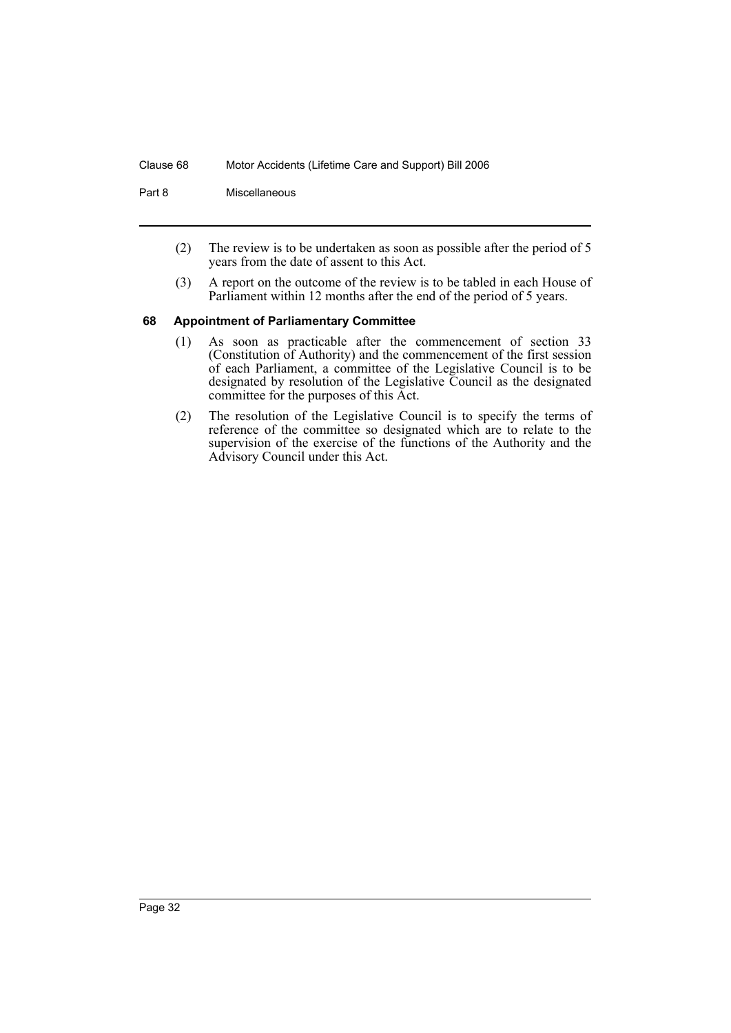Part 8 Miscellaneous

- (2) The review is to be undertaken as soon as possible after the period of 5 years from the date of assent to this Act.
- (3) A report on the outcome of the review is to be tabled in each House of Parliament within 12 months after the end of the period of 5 years.

#### <span id="page-35-0"></span>**68 Appointment of Parliamentary Committee**

- (1) As soon as practicable after the commencement of section 33 (Constitution of Authority) and the commencement of the first session of each Parliament, a committee of the Legislative Council is to be designated by resolution of the Legislative Council as the designated committee for the purposes of this Act.
- (2) The resolution of the Legislative Council is to specify the terms of reference of the committee so designated which are to relate to the supervision of the exercise of the functions of the Authority and the Advisory Council under this Act.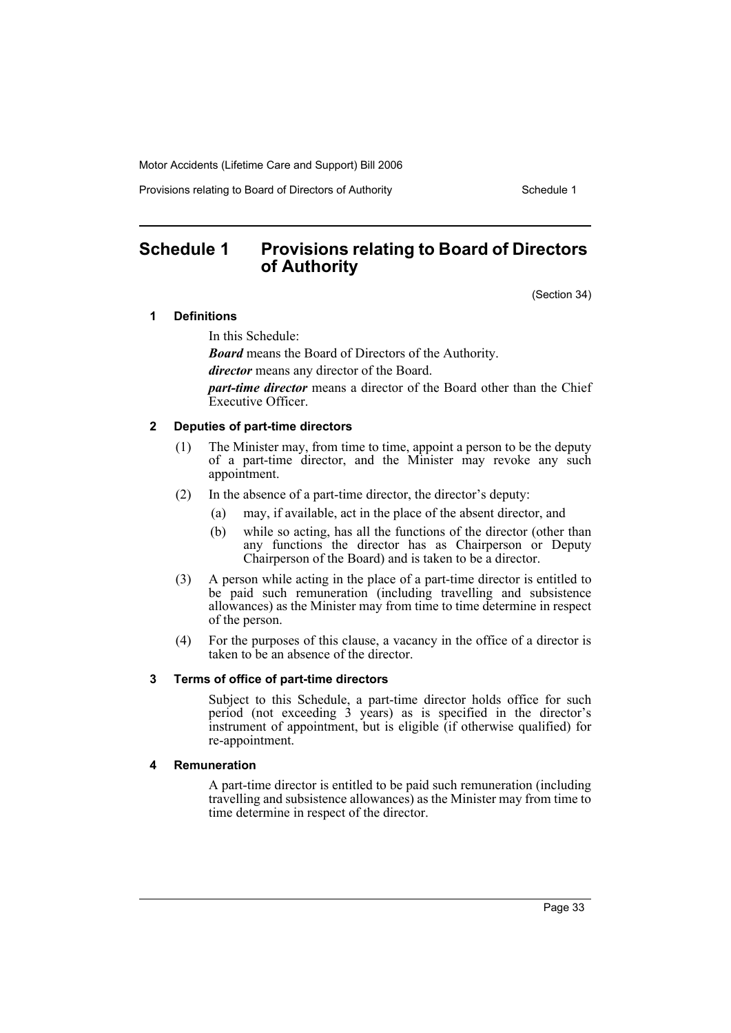Provisions relating to Board of Directors of Authority The Schedule 1

# <span id="page-36-0"></span>**Schedule 1 Provisions relating to Board of Directors of Authority**

(Section 34)

# **1 Definitions**

In this Schedule:

*Board* means the Board of Directors of the Authority.

*director* means any director of the Board.

*part-time director* means a director of the Board other than the Chief Executive Officer.

# **2 Deputies of part-time directors**

- (1) The Minister may, from time to time, appoint a person to be the deputy of a part-time director, and the Minister may revoke any such appointment.
- (2) In the absence of a part-time director, the director's deputy:
	- (a) may, if available, act in the place of the absent director, and
	- (b) while so acting, has all the functions of the director (other than any functions the director has as Chairperson or Deputy Chairperson of the Board) and is taken to be a director.
- (3) A person while acting in the place of a part-time director is entitled to be paid such remuneration (including travelling and subsistence allowances) as the Minister may from time to time determine in respect of the person.
- (4) For the purposes of this clause, a vacancy in the office of a director is taken to be an absence of the director.

#### **3 Terms of office of part-time directors**

Subject to this Schedule, a part-time director holds office for such period (not exceeding 3 years) as is specified in the director's instrument of appointment, but is eligible (if otherwise qualified) for re-appointment.

#### **4 Remuneration**

A part-time director is entitled to be paid such remuneration (including travelling and subsistence allowances) as the Minister may from time to time determine in respect of the director.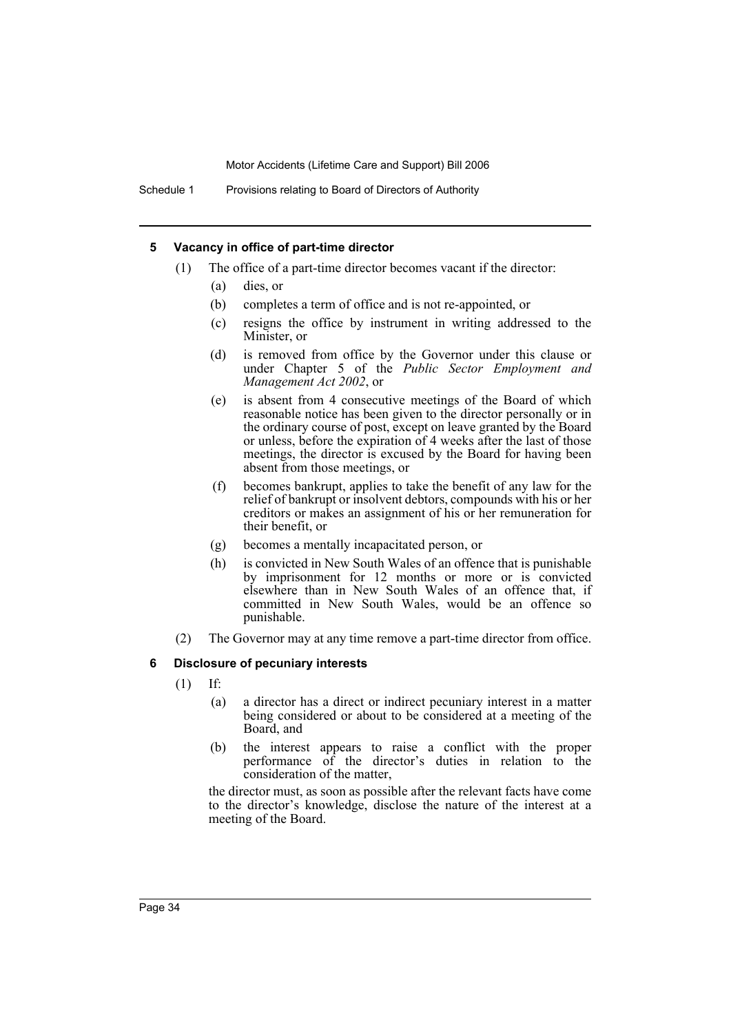Schedule 1 Provisions relating to Board of Directors of Authority

#### **5 Vacancy in office of part-time director**

- (1) The office of a part-time director becomes vacant if the director:
	- (a) dies, or
	- (b) completes a term of office and is not re-appointed, or
	- (c) resigns the office by instrument in writing addressed to the Minister, or
	- (d) is removed from office by the Governor under this clause or under Chapter 5 of the *Public Sector Employment and Management Act 2002*, or
	- (e) is absent from 4 consecutive meetings of the Board of which reasonable notice has been given to the director personally or in the ordinary course of post, except on leave granted by the Board or unless, before the expiration of 4 weeks after the last of those meetings, the director is excused by the Board for having been absent from those meetings, or
	- (f) becomes bankrupt, applies to take the benefit of any law for the relief of bankrupt or insolvent debtors, compounds with his or her creditors or makes an assignment of his or her remuneration for their benefit, or
	- (g) becomes a mentally incapacitated person, or
	- (h) is convicted in New South Wales of an offence that is punishable by imprisonment for 12 months or more or is convicted elsewhere than in New South Wales of an offence that, if committed in New South Wales, would be an offence so punishable.
- (2) The Governor may at any time remove a part-time director from office.

# **6 Disclosure of pecuniary interests**

- (1) If:
	- (a) a director has a direct or indirect pecuniary interest in a matter being considered or about to be considered at a meeting of the Board, and
	- (b) the interest appears to raise a conflict with the proper performance of the director's duties in relation to the consideration of the matter,

the director must, as soon as possible after the relevant facts have come to the director's knowledge, disclose the nature of the interest at a meeting of the Board.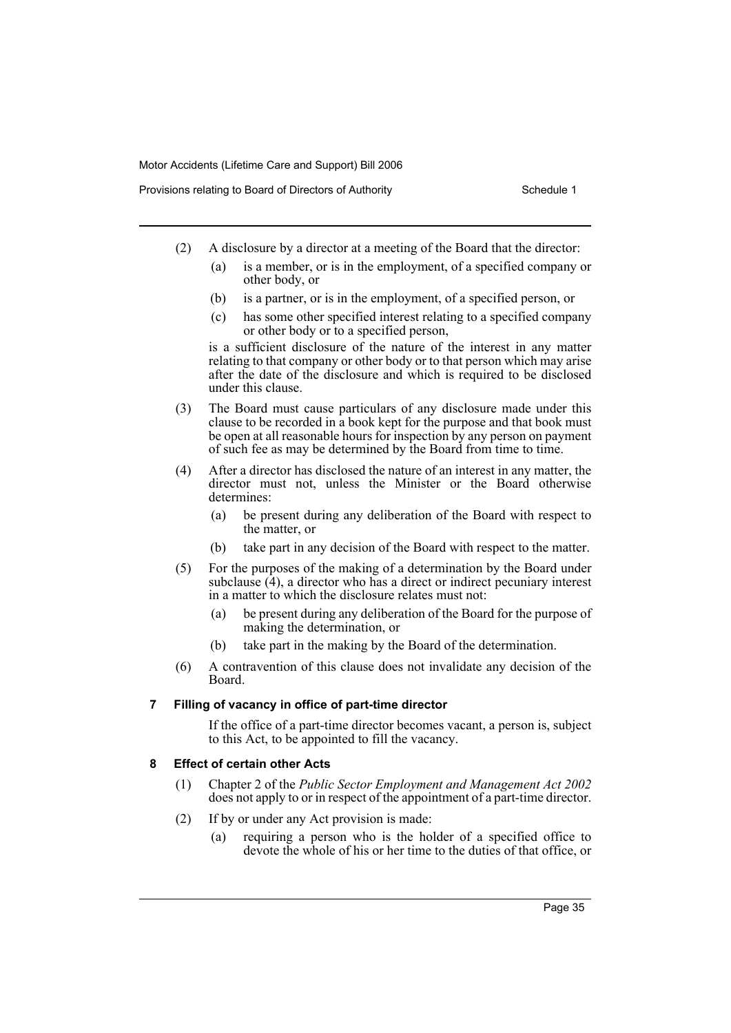- (2) A disclosure by a director at a meeting of the Board that the director:
	- (a) is a member, or is in the employment, of a specified company or other body, or
	- (b) is a partner, or is in the employment, of a specified person, or
	- (c) has some other specified interest relating to a specified company or other body or to a specified person,

is a sufficient disclosure of the nature of the interest in any matter relating to that company or other body or to that person which may arise after the date of the disclosure and which is required to be disclosed under this clause.

- (3) The Board must cause particulars of any disclosure made under this clause to be recorded in a book kept for the purpose and that book must be open at all reasonable hours for inspection by any person on payment of such fee as may be determined by the Board from time to time.
- (4) After a director has disclosed the nature of an interest in any matter, the director must not, unless the Minister or the Board otherwise determines:
	- (a) be present during any deliberation of the Board with respect to the matter, or
	- (b) take part in any decision of the Board with respect to the matter.
- (5) For the purposes of the making of a determination by the Board under subclause (4), a director who has a direct or indirect pecuniary interest in a matter to which the disclosure relates must not:
	- (a) be present during any deliberation of the Board for the purpose of making the determination, or
	- (b) take part in the making by the Board of the determination.
- (6) A contravention of this clause does not invalidate any decision of the Board.

# **7 Filling of vacancy in office of part-time director**

If the office of a part-time director becomes vacant, a person is, subject to this Act, to be appointed to fill the vacancy.

# **8 Effect of certain other Acts**

- (1) Chapter 2 of the *Public Sector Employment and Management Act 2002* does not apply to or in respect of the appointment of a part-time director.
- (2) If by or under any Act provision is made:
	- (a) requiring a person who is the holder of a specified office to devote the whole of his or her time to the duties of that office, or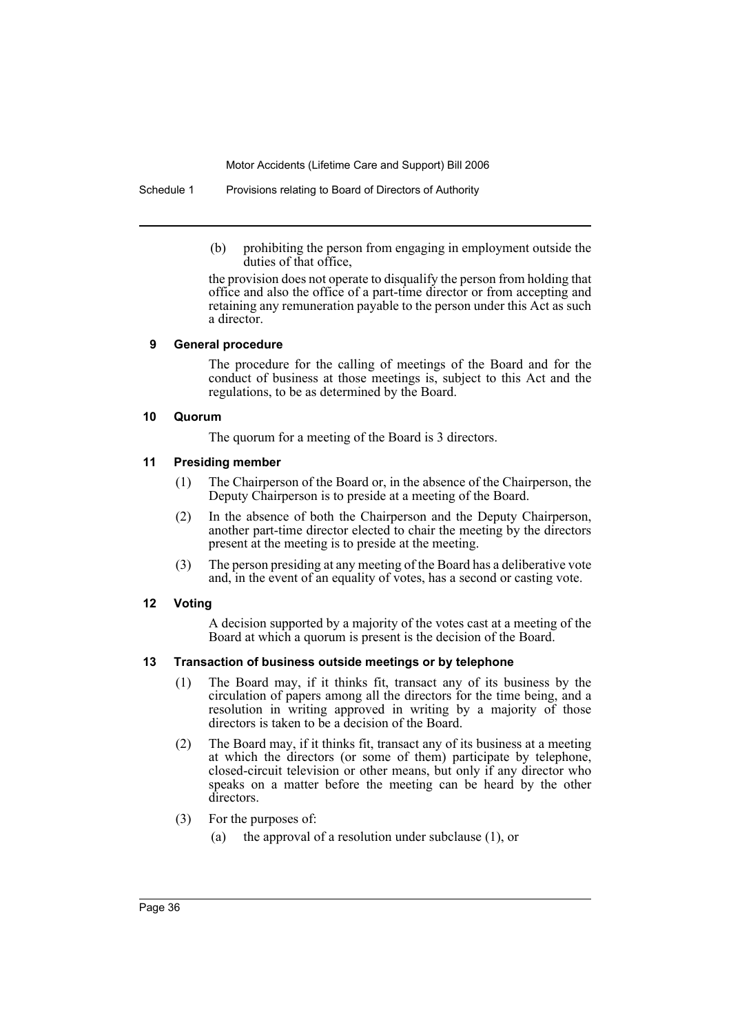Schedule 1 Provisions relating to Board of Directors of Authority

(b) prohibiting the person from engaging in employment outside the duties of that office,

the provision does not operate to disqualify the person from holding that office and also the office of a part-time director or from accepting and retaining any remuneration payable to the person under this Act as such a director.

#### **9 General procedure**

The procedure for the calling of meetings of the Board and for the conduct of business at those meetings is, subject to this Act and the regulations, to be as determined by the Board.

# **10 Quorum**

The quorum for a meeting of the Board is 3 directors.

# **11 Presiding member**

- (1) The Chairperson of the Board or, in the absence of the Chairperson, the Deputy Chairperson is to preside at a meeting of the Board.
- (2) In the absence of both the Chairperson and the Deputy Chairperson, another part-time director elected to chair the meeting by the directors present at the meeting is to preside at the meeting.
- (3) The person presiding at any meeting of the Board has a deliberative vote and, in the event of an equality of votes, has a second or casting vote.

# **12 Voting**

A decision supported by a majority of the votes cast at a meeting of the Board at which a quorum is present is the decision of the Board.

# **13 Transaction of business outside meetings or by telephone**

- (1) The Board may, if it thinks fit, transact any of its business by the circulation of papers among all the directors for the time being, and a resolution in writing approved in writing by a majority of those directors is taken to be a decision of the Board.
- (2) The Board may, if it thinks fit, transact any of its business at a meeting at which the directors (or some of them) participate by telephone, closed-circuit television or other means, but only if any director who speaks on a matter before the meeting can be heard by the other directors.
- (3) For the purposes of:
	- (a) the approval of a resolution under subclause (1), or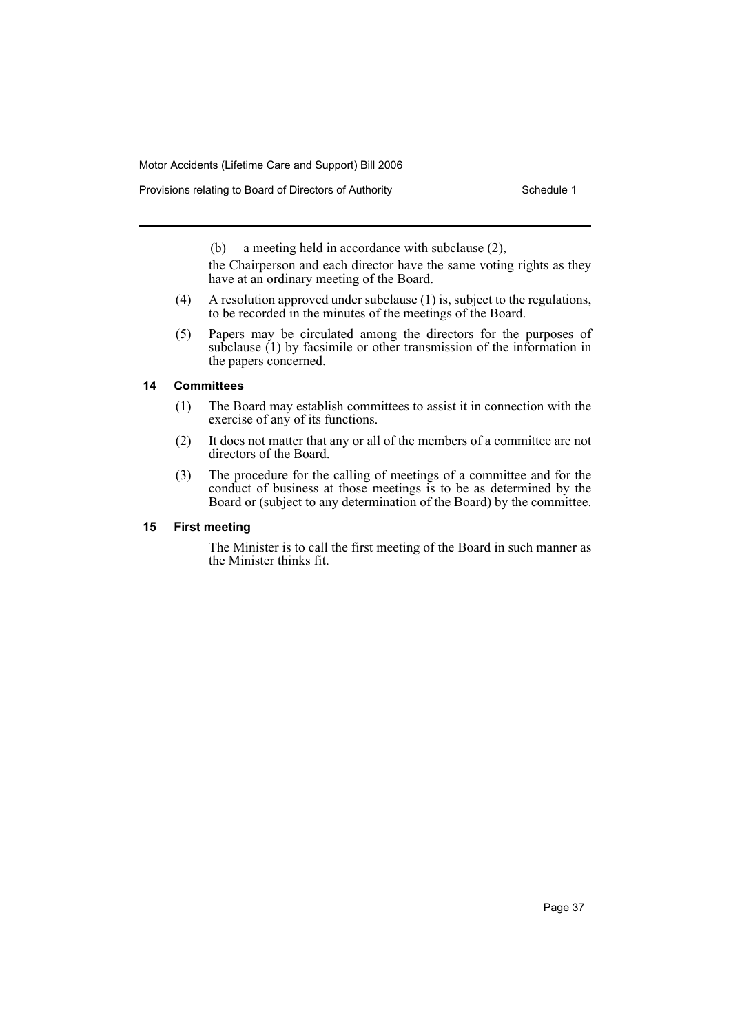Provisions relating to Board of Directors of Authority **Schedule 1** Schedule 1

(b) a meeting held in accordance with subclause (2),

the Chairperson and each director have the same voting rights as they have at an ordinary meeting of the Board.

- (4) A resolution approved under subclause (1) is, subject to the regulations, to be recorded in the minutes of the meetings of the Board.
- (5) Papers may be circulated among the directors for the purposes of subclause (1) by facsimile or other transmission of the information in the papers concerned.

# **14 Committees**

- (1) The Board may establish committees to assist it in connection with the exercise of any of its functions.
- (2) It does not matter that any or all of the members of a committee are not directors of the Board.
- (3) The procedure for the calling of meetings of a committee and for the conduct of business at those meetings is to be as determined by the Board or (subject to any determination of the Board) by the committee.

# **15 First meeting**

The Minister is to call the first meeting of the Board in such manner as the Minister thinks fit.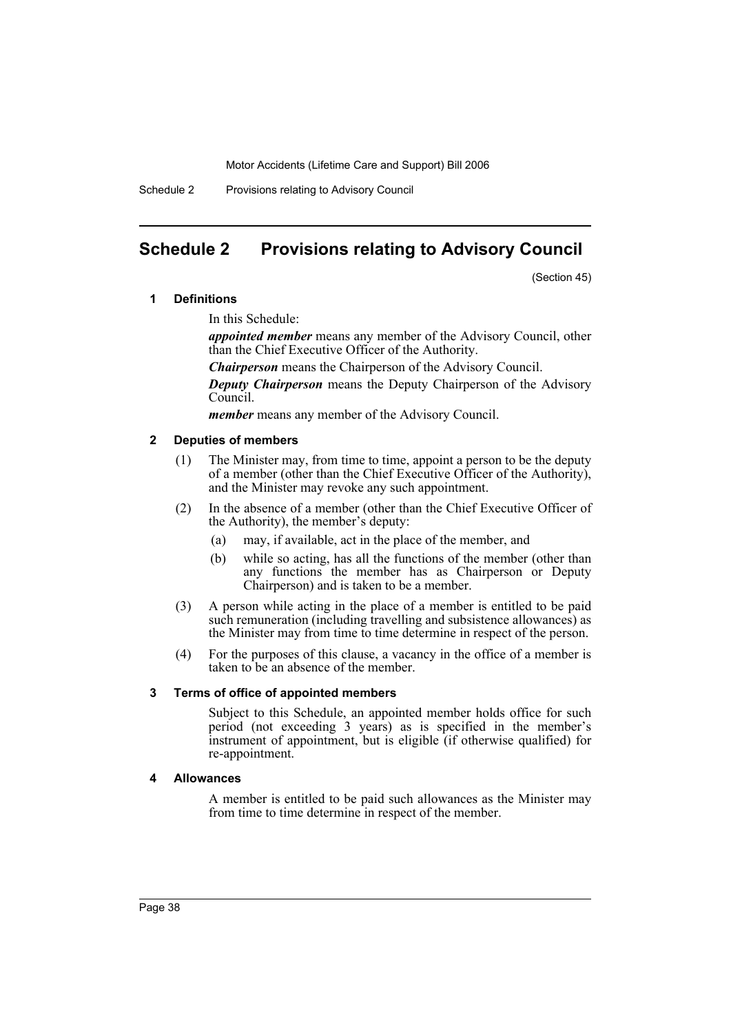Schedule 2 Provisions relating to Advisory Council

# <span id="page-41-0"></span>**Schedule 2 Provisions relating to Advisory Council**

(Section 45)

# **1 Definitions**

In this Schedule:

*appointed member* means any member of the Advisory Council, other than the Chief Executive Officer of the Authority.

*Chairperson* means the Chairperson of the Advisory Council.

*Deputy Chairperson* means the Deputy Chairperson of the Advisory Council.

*member* means any member of the Advisory Council.

#### **2 Deputies of members**

- (1) The Minister may, from time to time, appoint a person to be the deputy of a member (other than the Chief Executive Officer of the Authority), and the Minister may revoke any such appointment.
- (2) In the absence of a member (other than the Chief Executive Officer of the Authority), the member's deputy:
	- (a) may, if available, act in the place of the member, and
	- (b) while so acting, has all the functions of the member (other than any functions the member has as Chairperson or Deputy Chairperson) and is taken to be a member.
- (3) A person while acting in the place of a member is entitled to be paid such remuneration (including travelling and subsistence allowances) as the Minister may from time to time determine in respect of the person.
- (4) For the purposes of this clause, a vacancy in the office of a member is taken to be an absence of the member.

#### **3 Terms of office of appointed members**

Subject to this Schedule, an appointed member holds office for such period (not exceeding 3 years) as is specified in the member's instrument of appointment, but is eligible (if otherwise qualified) for re-appointment.

#### **4 Allowances**

A member is entitled to be paid such allowances as the Minister may from time to time determine in respect of the member.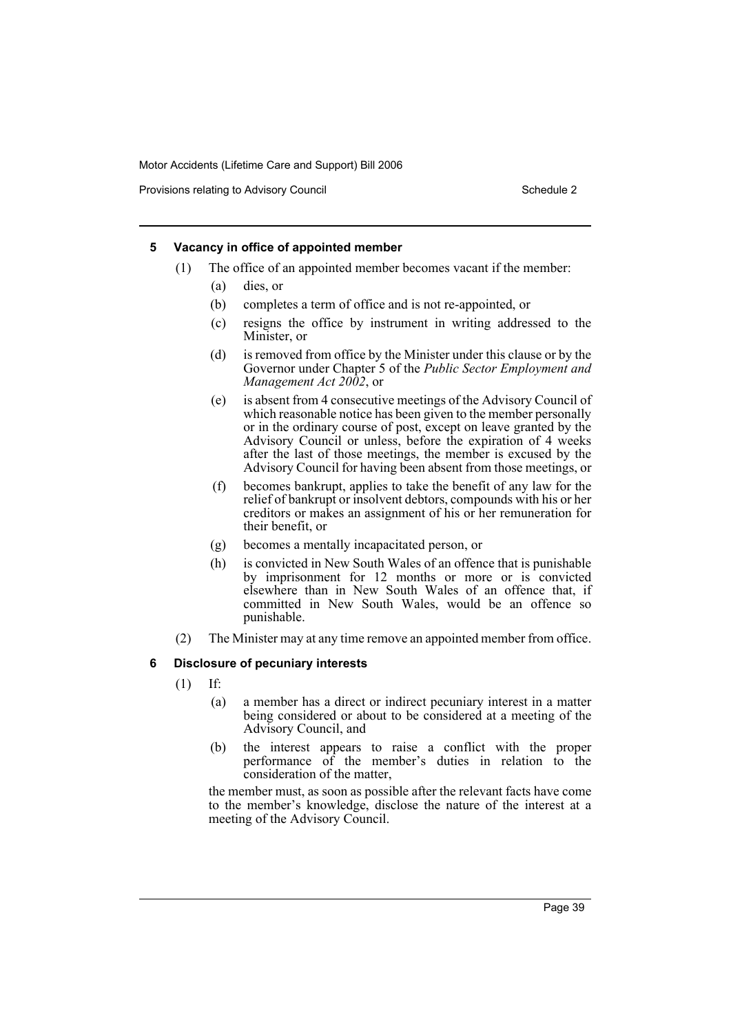Provisions relating to Advisory Council Council Council Schedule 2

# **5 Vacancy in office of appointed member**

- (1) The office of an appointed member becomes vacant if the member:
	- (a) dies, or
	- (b) completes a term of office and is not re-appointed, or
	- (c) resigns the office by instrument in writing addressed to the Minister, or
	- (d) is removed from office by the Minister under this clause or by the Governor under Chapter 5 of the *Public Sector Employment and Management Act 2002*, or
	- (e) is absent from 4 consecutive meetings of the Advisory Council of which reasonable notice has been given to the member personally or in the ordinary course of post, except on leave granted by the Advisory Council or unless, before the expiration of 4 weeks after the last of those meetings, the member is excused by the Advisory Council for having been absent from those meetings, or
	- (f) becomes bankrupt, applies to take the benefit of any law for the relief of bankrupt or insolvent debtors, compounds with his or her creditors or makes an assignment of his or her remuneration for their benefit, or
	- (g) becomes a mentally incapacitated person, or
	- (h) is convicted in New South Wales of an offence that is punishable by imprisonment for 12 months or more or is convicted elsewhere than in New South Wales of an offence that, if committed in New South Wales, would be an offence so punishable.
- (2) The Minister may at any time remove an appointed member from office.

# **6 Disclosure of pecuniary interests**

- (1) If:
	- (a) a member has a direct or indirect pecuniary interest in a matter being considered or about to be considered at a meeting of the Advisory Council, and
	- (b) the interest appears to raise a conflict with the proper performance of the member's duties in relation to the consideration of the matter,

the member must, as soon as possible after the relevant facts have come to the member's knowledge, disclose the nature of the interest at a meeting of the Advisory Council.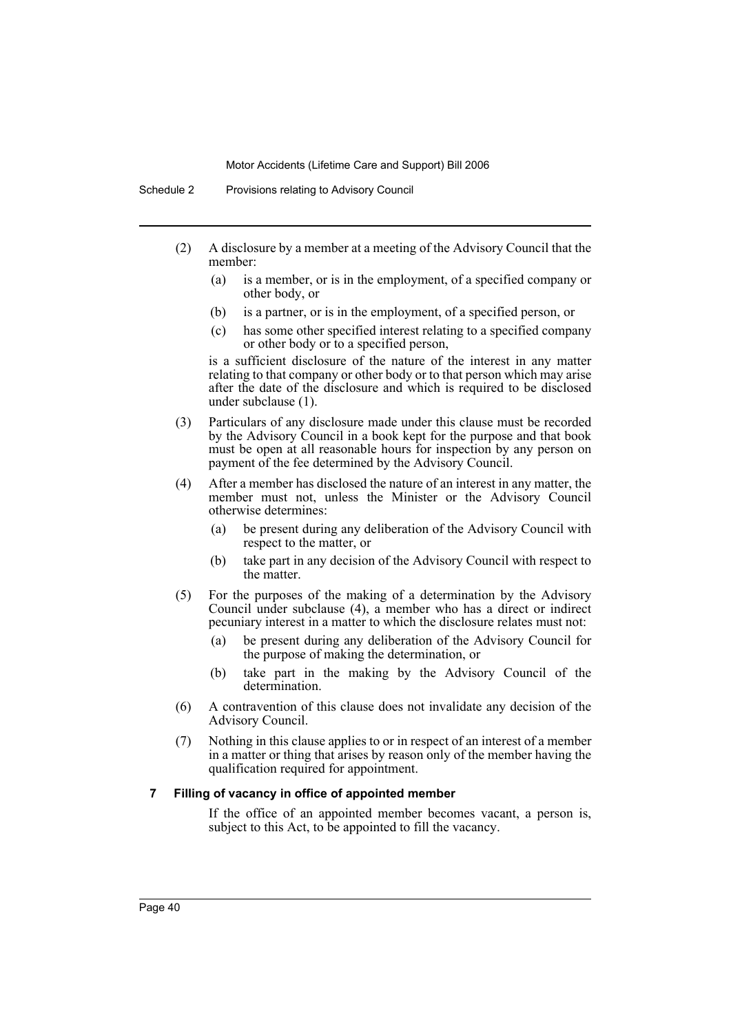- (2) A disclosure by a member at a meeting of the Advisory Council that the member:
	- (a) is a member, or is in the employment, of a specified company or other body, or
	- (b) is a partner, or is in the employment, of a specified person, or
	- (c) has some other specified interest relating to a specified company or other body or to a specified person,

is a sufficient disclosure of the nature of the interest in any matter relating to that company or other body or to that person which may arise after the date of the disclosure and which is required to be disclosed under subclause (1).

- (3) Particulars of any disclosure made under this clause must be recorded by the Advisory Council in a book kept for the purpose and that book must be open at all reasonable hours for inspection by any person on payment of the fee determined by the Advisory Council.
- (4) After a member has disclosed the nature of an interest in any matter, the member must not, unless the Minister or the Advisory Council otherwise determines:
	- (a) be present during any deliberation of the Advisory Council with respect to the matter, or
	- (b) take part in any decision of the Advisory Council with respect to the matter.
- (5) For the purposes of the making of a determination by the Advisory Council under subclause (4), a member who has a direct or indirect pecuniary interest in a matter to which the disclosure relates must not:
	- (a) be present during any deliberation of the Advisory Council for the purpose of making the determination, or
	- (b) take part in the making by the Advisory Council of the determination.
- (6) A contravention of this clause does not invalidate any decision of the Advisory Council.
- (7) Nothing in this clause applies to or in respect of an interest of a member in a matter or thing that arises by reason only of the member having the qualification required for appointment.

# **7 Filling of vacancy in office of appointed member**

If the office of an appointed member becomes vacant, a person is, subject to this Act, to be appointed to fill the vacancy.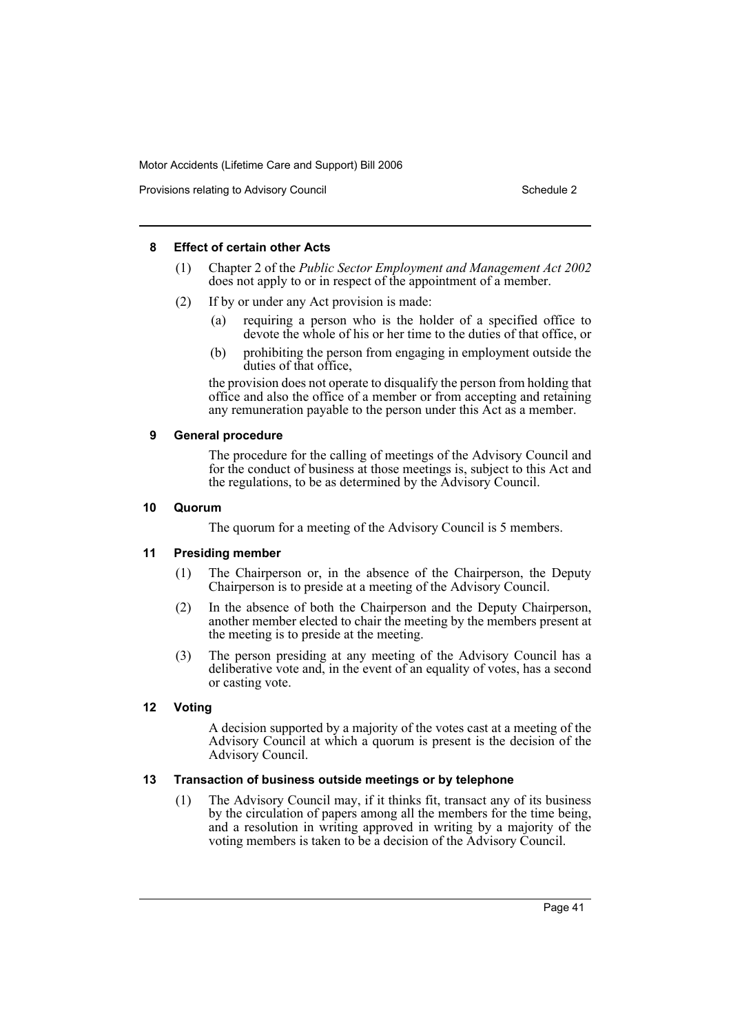Provisions relating to Advisory Council Council Council Schedule 2

#### **8 Effect of certain other Acts**

- (1) Chapter 2 of the *Public Sector Employment and Management Act 2002* does not apply to or in respect of the appointment of a member.
- (2) If by or under any Act provision is made:
	- (a) requiring a person who is the holder of a specified office to devote the whole of his or her time to the duties of that office, or
	- (b) prohibiting the person from engaging in employment outside the duties of that office,

the provision does not operate to disqualify the person from holding that office and also the office of a member or from accepting and retaining any remuneration payable to the person under this Act as a member.

# **9 General procedure**

The procedure for the calling of meetings of the Advisory Council and for the conduct of business at those meetings is, subject to this Act and the regulations, to be as determined by the Advisory Council.

# **10 Quorum**

The quorum for a meeting of the Advisory Council is 5 members.

# **11 Presiding member**

- (1) The Chairperson or, in the absence of the Chairperson, the Deputy Chairperson is to preside at a meeting of the Advisory Council.
- (2) In the absence of both the Chairperson and the Deputy Chairperson, another member elected to chair the meeting by the members present at the meeting is to preside at the meeting.
- (3) The person presiding at any meeting of the Advisory Council has a deliberative vote and, in the event of an equality of votes, has a second or casting vote.

# **12 Voting**

A decision supported by a majority of the votes cast at a meeting of the Advisory Council at which a quorum is present is the decision of the Advisory Council.

# **13 Transaction of business outside meetings or by telephone**

(1) The Advisory Council may, if it thinks fit, transact any of its business by the circulation of papers among all the members for the time being, and a resolution in writing approved in writing by a majority of the voting members is taken to be a decision of the Advisory Council.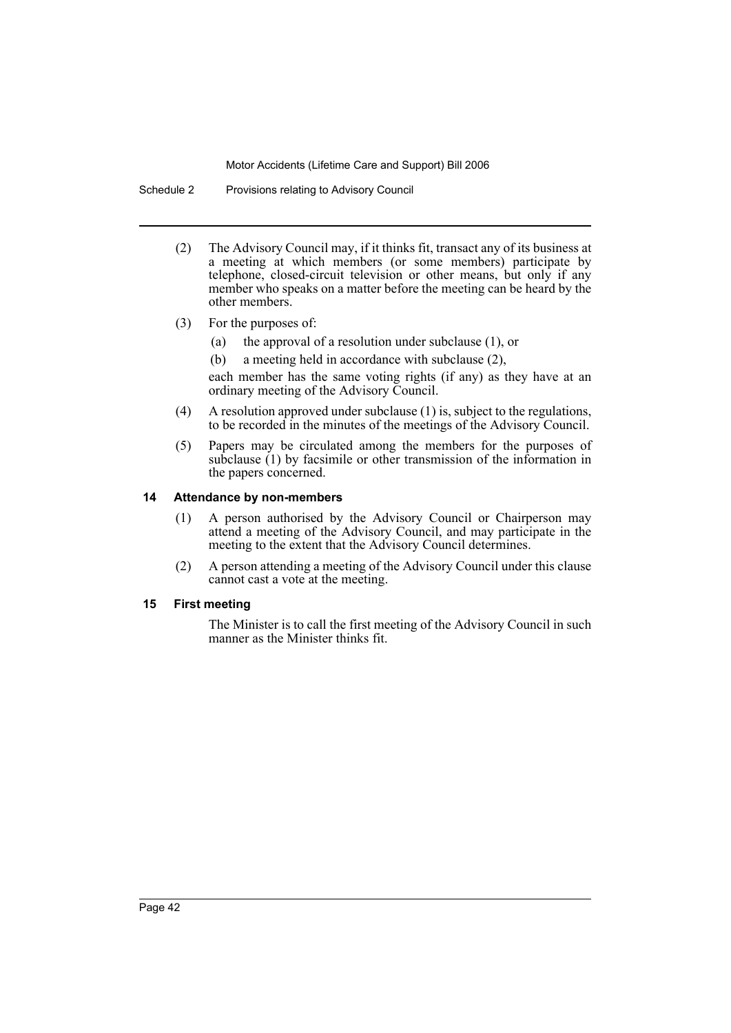Schedule 2 Provisions relating to Advisory Council

- (2) The Advisory Council may, if it thinks fit, transact any of its business at a meeting at which members (or some members) participate by telephone, closed-circuit television or other means, but only if any member who speaks on a matter before the meeting can be heard by the other members.
- (3) For the purposes of:
	- (a) the approval of a resolution under subclause (1), or
	- (b) a meeting held in accordance with subclause (2),

each member has the same voting rights (if any) as they have at an ordinary meeting of the Advisory Council.

- (4) A resolution approved under subclause (1) is, subject to the regulations, to be recorded in the minutes of the meetings of the Advisory Council.
- (5) Papers may be circulated among the members for the purposes of subclause (1) by facsimile or other transmission of the information in the papers concerned.

#### **14 Attendance by non-members**

- (1) A person authorised by the Advisory Council or Chairperson may attend a meeting of the Advisory Council, and may participate in the meeting to the extent that the Advisory Council determines.
- (2) A person attending a meeting of the Advisory Council under this clause cannot cast a vote at the meeting.

#### **15 First meeting**

The Minister is to call the first meeting of the Advisory Council in such manner as the Minister thinks fit.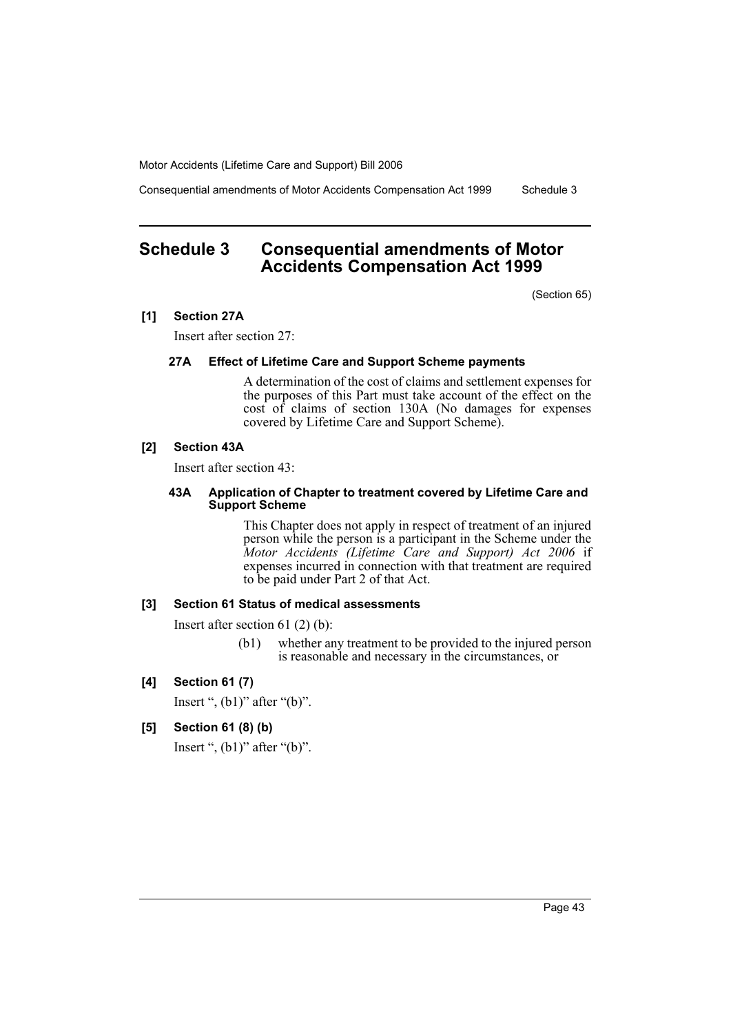Consequential amendments of Motor Accidents Compensation Act 1999 Schedule 3

# <span id="page-46-0"></span>**Schedule 3 Consequential amendments of Motor Accidents Compensation Act 1999**

(Section 65)

#### **[1] Section 27A**

Insert after section 27:

#### **27A Effect of Lifetime Care and Support Scheme payments**

A determination of the cost of claims and settlement expenses for the purposes of this Part must take account of the effect on the cost of claims of section 130A (No damages for expenses covered by Lifetime Care and Support Scheme).

#### **[2] Section 43A**

Insert after section 43:

#### **43A Application of Chapter to treatment covered by Lifetime Care and Support Scheme**

This Chapter does not apply in respect of treatment of an injured person while the person is a participant in the Scheme under the *Motor Accidents (Lifetime Care and Support) Act 2006* if expenses incurred in connection with that treatment are required to be paid under Part 2 of that Act.

#### **[3] Section 61 Status of medical assessments**

Insert after section 61 (2) (b):

(b1) whether any treatment to be provided to the injured person is reasonable and necessary in the circumstances, or

#### **[4] Section 61 (7)**

Insert ",  $(b1)$ " after " $(b)$ ".

**[5] Section 61 (8) (b)**

Insert ",  $(b1)$ " after " $(b)$ ".